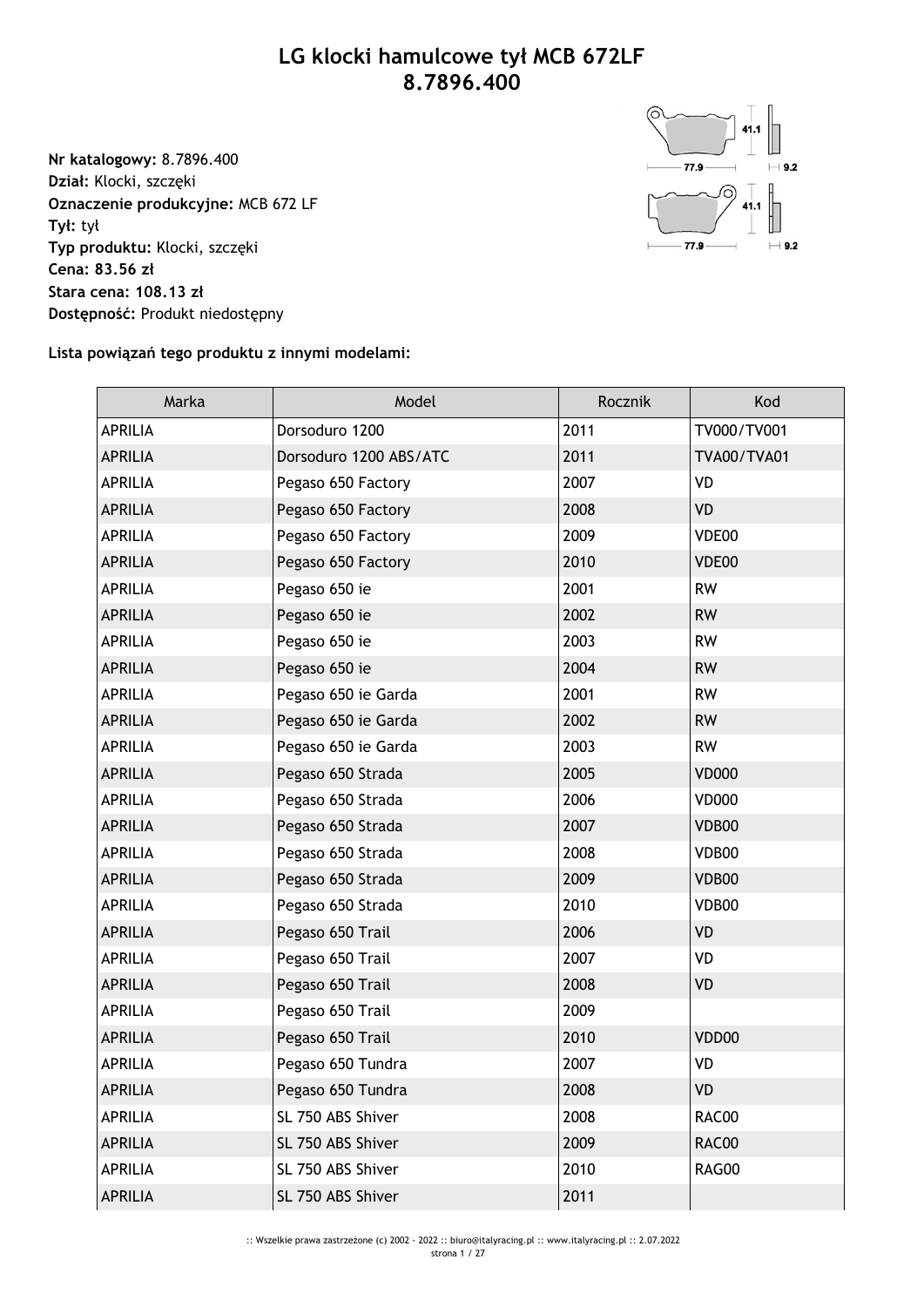## **LG klocki hamulcowe tył MCB 672LF 8.7896.400**

**Nr katalogowy:** 8.7896.400 **Dział:** Klocki, szczęki **Oznaczenie produkcyjne:** MCB 672 LF **Tył:** tył **Typ produktu:** Klocki, szczęki **Cena: 83.56 zł Stara cena: 108.13 zł Dostępność:** Produkt niedostępny



## **Lista powiązań tego produktu z innymi modelami:**

| Marka          | Model                  | Rocznik | Kod                |
|----------------|------------------------|---------|--------------------|
| <b>APRILIA</b> | Dorsoduro 1200         | 2011    | TV000/TV001        |
| <b>APRILIA</b> | Dorsoduro 1200 ABS/ATC | 2011    | <b>TVA00/TVA01</b> |
| <b>APRILIA</b> | Pegaso 650 Factory     | 2007    | VD                 |
| <b>APRILIA</b> | Pegaso 650 Factory     | 2008    | <b>VD</b>          |
| <b>APRILIA</b> | Pegaso 650 Factory     | 2009    | VDE00              |
| <b>APRILIA</b> | Pegaso 650 Factory     | 2010    | VDE00              |
| <b>APRILIA</b> | Pegaso 650 ie          | 2001    | <b>RW</b>          |
| <b>APRILIA</b> | Pegaso 650 ie          | 2002    | <b>RW</b>          |
| <b>APRILIA</b> | Pegaso 650 ie          | 2003    | <b>RW</b>          |
| <b>APRILIA</b> | Pegaso 650 ie          | 2004    | <b>RW</b>          |
| <b>APRILIA</b> | Pegaso 650 ie Garda    | 2001    | <b>RW</b>          |
| <b>APRILIA</b> | Pegaso 650 ie Garda    | 2002    | <b>RW</b>          |
| <b>APRILIA</b> | Pegaso 650 ie Garda    | 2003    | <b>RW</b>          |
| <b>APRILIA</b> | Pegaso 650 Strada      | 2005    | <b>VD000</b>       |
| <b>APRILIA</b> | Pegaso 650 Strada      | 2006    | <b>VD000</b>       |
| <b>APRILIA</b> | Pegaso 650 Strada      | 2007    | VDB00              |
| <b>APRILIA</b> | Pegaso 650 Strada      | 2008    | VDB00              |
| <b>APRILIA</b> | Pegaso 650 Strada      | 2009    | VDB00              |
| <b>APRILIA</b> | Pegaso 650 Strada      | 2010    | VDB00              |
| <b>APRILIA</b> | Pegaso 650 Trail       | 2006    | <b>VD</b>          |
| <b>APRILIA</b> | Pegaso 650 Trail       | 2007    | VD                 |
| <b>APRILIA</b> | Pegaso 650 Trail       | 2008    | <b>VD</b>          |
| <b>APRILIA</b> | Pegaso 650 Trail       | 2009    |                    |
| <b>APRILIA</b> | Pegaso 650 Trail       | 2010    | VDD00              |
| <b>APRILIA</b> | Pegaso 650 Tundra      | 2007    | VD                 |
| <b>APRILIA</b> | Pegaso 650 Tundra      | 2008    | <b>VD</b>          |
| <b>APRILIA</b> | SL 750 ABS Shiver      | 2008    | RAC00              |
| <b>APRILIA</b> | SL 750 ABS Shiver      | 2009    | RAC00              |
| <b>APRILIA</b> | SL 750 ABS Shiver      | 2010    | RAG00              |
| <b>APRILIA</b> | SL 750 ABS Shiver      | 2011    |                    |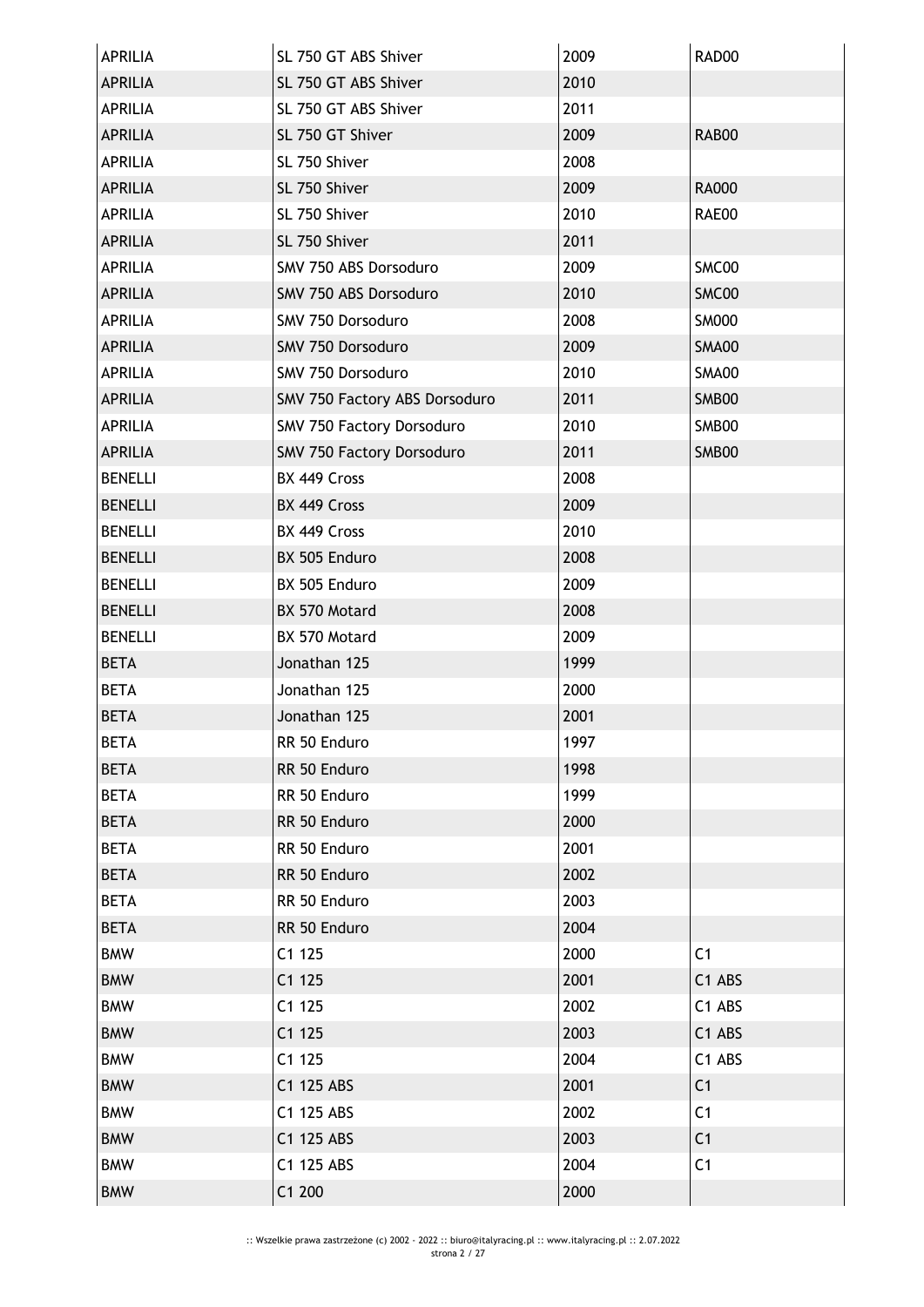| APRILIA        | SL 750 GT ABS Shiver          | 2009 | RAD00          |
|----------------|-------------------------------|------|----------------|
| <b>APRILIA</b> | SL 750 GT ABS Shiver          | 2010 |                |
| <b>APRILIA</b> | SL 750 GT ABS Shiver          | 2011 |                |
| <b>APRILIA</b> | SL 750 GT Shiver              | 2009 | RAB00          |
| <b>APRILIA</b> | SL 750 Shiver                 | 2008 |                |
| <b>APRILIA</b> | SL 750 Shiver                 | 2009 | <b>RA000</b>   |
| <b>APRILIA</b> | SL 750 Shiver                 | 2010 | RAE00          |
| <b>APRILIA</b> | SL 750 Shiver                 | 2011 |                |
| <b>APRILIA</b> | SMV 750 ABS Dorsoduro         | 2009 | SMC00          |
| <b>APRILIA</b> | SMV 750 ABS Dorsoduro         | 2010 | SMC00          |
| <b>APRILIA</b> | SMV 750 Dorsoduro             | 2008 | <b>SM000</b>   |
| <b>APRILIA</b> | SMV 750 Dorsoduro             | 2009 | <b>SMA00</b>   |
| <b>APRILIA</b> | SMV 750 Dorsoduro             | 2010 | <b>SMA00</b>   |
| <b>APRILIA</b> | SMV 750 Factory ABS Dorsoduro | 2011 | SMB00          |
| <b>APRILIA</b> | SMV 750 Factory Dorsoduro     | 2010 | SMB00          |
| <b>APRILIA</b> | SMV 750 Factory Dorsoduro     | 2011 | SMB00          |
| <b>BENELLI</b> | BX 449 Cross                  | 2008 |                |
| <b>BENELLI</b> | BX 449 Cross                  | 2009 |                |
| <b>BENELLI</b> | BX 449 Cross                  | 2010 |                |
| <b>BENELLI</b> | BX 505 Enduro                 | 2008 |                |
| <b>BENELLI</b> | BX 505 Enduro                 | 2009 |                |
| <b>BENELLI</b> | BX 570 Motard                 | 2008 |                |
| <b>BENELLI</b> | BX 570 Motard                 | 2009 |                |
| <b>BETA</b>    | Jonathan 125                  | 1999 |                |
| <b>BETA</b>    | Jonathan 125                  | 2000 |                |
| <b>BETA</b>    | Jonathan 125                  | 2001 |                |
| BETA           | RR 50 Enduro                  | 1997 |                |
| <b>BETA</b>    | RR 50 Enduro                  | 1998 |                |
| <b>BETA</b>    | RR 50 Enduro                  | 1999 |                |
| <b>BETA</b>    | RR 50 Enduro                  | 2000 |                |
| <b>BETA</b>    | RR 50 Enduro                  | 2001 |                |
| <b>BETA</b>    | RR 50 Enduro                  | 2002 |                |
| <b>BETA</b>    | RR 50 Enduro                  | 2003 |                |
| <b>BETA</b>    | RR 50 Enduro                  | 2004 |                |
| <b>BMW</b>     | C1125                         | 2000 | C <sub>1</sub> |
| <b>BMW</b>     | C1125                         | 2001 | C1 ABS         |
| <b>BMW</b>     | C1125                         | 2002 | C1 ABS         |
| <b>BMW</b>     | C1125                         | 2003 | C1 ABS         |
| <b>BMW</b>     | C1125                         | 2004 | C1 ABS         |
| <b>BMW</b>     | C1 125 ABS                    | 2001 | C <sub>1</sub> |
| <b>BMW</b>     | C1 125 ABS                    | 2002 | C <sub>1</sub> |
| <b>BMW</b>     | C1 125 ABS                    | 2003 | C <sub>1</sub> |
| <b>BMW</b>     | C1 125 ABS                    | 2004 | C <sub>1</sub> |
| <b>BMW</b>     | C1 200                        | 2000 |                |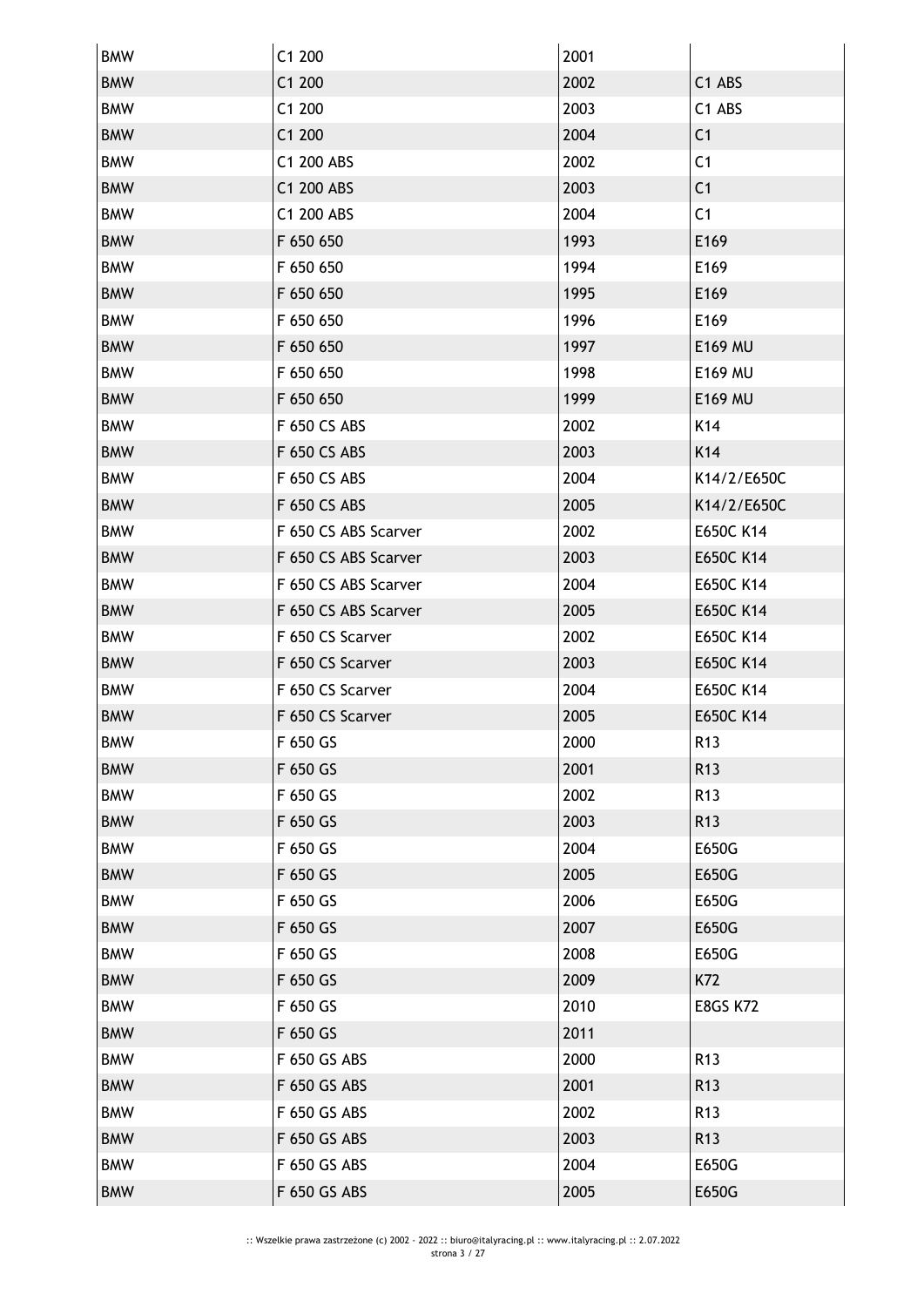| <b>BMW</b> | C1 200               | 2001 |                 |
|------------|----------------------|------|-----------------|
| <b>BMW</b> | C1 200               | 2002 | C1 ABS          |
| <b>BMW</b> | C1 200               | 2003 | C1 ABS          |
| <b>BMW</b> | C1 200               | 2004 | C <sub>1</sub>  |
| <b>BMW</b> | C1 200 ABS           | 2002 | C <sub>1</sub>  |
| <b>BMW</b> | C1 200 ABS           | 2003 | C <sub>1</sub>  |
| <b>BMW</b> | C1 200 ABS           | 2004 | C <sub>1</sub>  |
| <b>BMW</b> | F 650 650            | 1993 | E169            |
| <b>BMW</b> | F 650 650            | 1994 | E169            |
| <b>BMW</b> | F 650 650            | 1995 | E169            |
| <b>BMW</b> | F 650 650            | 1996 | E169            |
| <b>BMW</b> | F 650 650            | 1997 | <b>E169 MU</b>  |
| <b>BMW</b> | F 650 650            | 1998 | E169 MU         |
| <b>BMW</b> | F 650 650            | 1999 | E169 MU         |
| <b>BMW</b> | F 650 CS ABS         | 2002 | K14             |
| <b>BMW</b> | F 650 CS ABS         | 2003 | K14             |
| <b>BMW</b> | F 650 CS ABS         | 2004 | K14/2/E650C     |
| <b>BMW</b> | F 650 CS ABS         | 2005 | K14/2/E650C     |
| <b>BMW</b> | F 650 CS ABS Scarver | 2002 | E650C K14       |
| <b>BMW</b> | F 650 CS ABS Scarver | 2003 | E650C K14       |
| <b>BMW</b> | F 650 CS ABS Scarver | 2004 | E650C K14       |
| <b>BMW</b> | F 650 CS ABS Scarver | 2005 | E650C K14       |
| <b>BMW</b> | F 650 CS Scarver     | 2002 | E650C K14       |
| <b>BMW</b> | F 650 CS Scarver     | 2003 | E650C K14       |
| <b>BMW</b> | F 650 CS Scarver     | 2004 | E650C K14       |
| <b>BMW</b> | F 650 CS Scarver     | 2005 | E650C K14       |
| <b>BMW</b> | F 650 GS             | 2000 | R <sub>13</sub> |
| <b>BMW</b> | F 650 GS             | 2001 | R <sub>13</sub> |
| <b>BMW</b> | F 650 GS             | 2002 | R <sub>13</sub> |
| <b>BMW</b> | F 650 GS             | 2003 | R <sub>13</sub> |
| <b>BMW</b> | F 650 GS             | 2004 | E650G           |
| <b>BMW</b> | F 650 GS             | 2005 | E650G           |
| <b>BMW</b> | F 650 GS             | 2006 | E650G           |
| <b>BMW</b> | F 650 GS             | 2007 | E650G           |
| <b>BMW</b> | F 650 GS             | 2008 | E650G           |
| <b>BMW</b> | F 650 GS             | 2009 | K72             |
| <b>BMW</b> | F 650 GS             | 2010 | <b>E8GS K72</b> |
| <b>BMW</b> | F 650 GS             | 2011 |                 |
| <b>BMW</b> | F 650 GS ABS         | 2000 | R <sub>13</sub> |
| <b>BMW</b> | F 650 GS ABS         | 2001 | R <sub>13</sub> |
| <b>BMW</b> | F 650 GS ABS         | 2002 | R <sub>13</sub> |
| <b>BMW</b> | F 650 GS ABS         | 2003 | R <sub>13</sub> |
| <b>BMW</b> | F 650 GS ABS         | 2004 | E650G           |
| <b>BMW</b> | F 650 GS ABS         | 2005 | E650G           |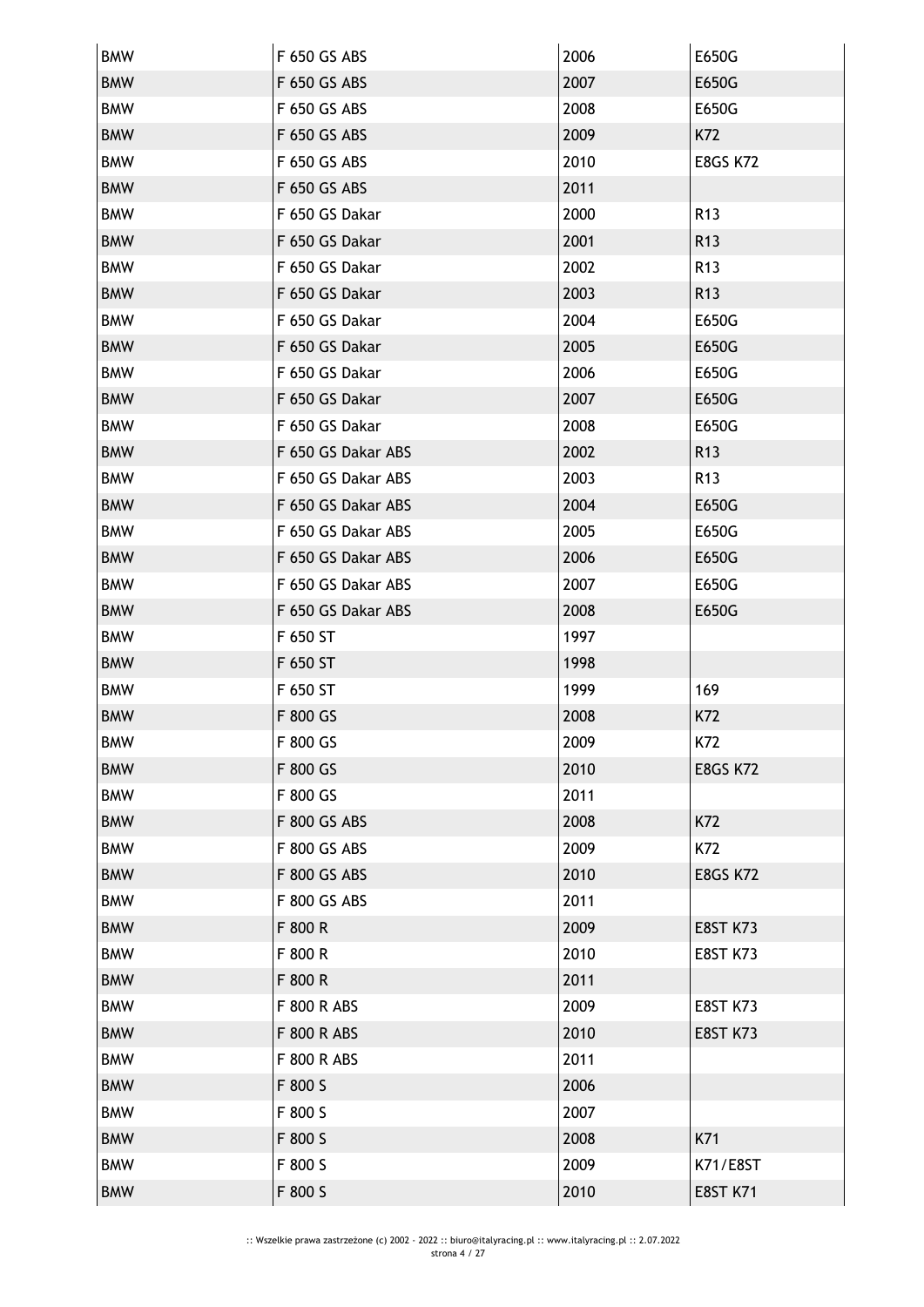| <b>BMW</b> | F 650 GS ABS       | 2006 | E650G           |
|------------|--------------------|------|-----------------|
| <b>BMW</b> | F 650 GS ABS       | 2007 | E650G           |
| <b>BMW</b> | F 650 GS ABS       | 2008 | E650G           |
| <b>BMW</b> | F 650 GS ABS       | 2009 | K72             |
| <b>BMW</b> | F 650 GS ABS       | 2010 | <b>E8GS K72</b> |
| <b>BMW</b> | F 650 GS ABS       | 2011 |                 |
| <b>BMW</b> | F 650 GS Dakar     | 2000 | R <sub>13</sub> |
| <b>BMW</b> | F 650 GS Dakar     | 2001 | R <sub>13</sub> |
| <b>BMW</b> | F 650 GS Dakar     | 2002 | R <sub>13</sub> |
| <b>BMW</b> | F 650 GS Dakar     | 2003 | R <sub>13</sub> |
| <b>BMW</b> | F 650 GS Dakar     | 2004 | E650G           |
| <b>BMW</b> | F 650 GS Dakar     | 2005 | E650G           |
| <b>BMW</b> | F 650 GS Dakar     | 2006 | E650G           |
| <b>BMW</b> | F 650 GS Dakar     | 2007 | E650G           |
| <b>BMW</b> | F 650 GS Dakar     | 2008 | E650G           |
| <b>BMW</b> | F 650 GS Dakar ABS | 2002 | R <sub>13</sub> |
| <b>BMW</b> | F 650 GS Dakar ABS | 2003 | R <sub>13</sub> |
| <b>BMW</b> | F 650 GS Dakar ABS | 2004 | E650G           |
| <b>BMW</b> | F 650 GS Dakar ABS | 2005 | E650G           |
| <b>BMW</b> | F 650 GS Dakar ABS | 2006 | E650G           |
| <b>BMW</b> | F 650 GS Dakar ABS | 2007 | E650G           |
| <b>BMW</b> | F 650 GS Dakar ABS | 2008 | E650G           |
| <b>BMW</b> | F 650 ST           | 1997 |                 |
| <b>BMW</b> | F 650 ST           | 1998 |                 |
| <b>BMW</b> | F 650 ST           | 1999 | 169             |
| <b>BMW</b> | F 800 GS           | 2008 | K72             |
| BMW        | F 800 GS           | 2009 | K72             |
| <b>BMW</b> | F 800 GS           | 2010 | <b>E8GS K72</b> |
| <b>BMW</b> | F 800 GS           | 2011 |                 |
| <b>BMW</b> | F 800 GS ABS       | 2008 | K72             |
| <b>BMW</b> | F 800 GS ABS       | 2009 | K72             |
| <b>BMW</b> | F 800 GS ABS       | 2010 | <b>E8GS K72</b> |
| <b>BMW</b> | F 800 GS ABS       | 2011 |                 |
| <b>BMW</b> | F 800 R            | 2009 | <b>E8ST K73</b> |
| <b>BMW</b> | F 800 R            | 2010 | <b>E8ST K73</b> |
| <b>BMW</b> | F 800 R            | 2011 |                 |
| <b>BMW</b> | F 800 R ABS        | 2009 | <b>E8ST K73</b> |
| <b>BMW</b> | F 800 R ABS        | 2010 | <b>E8ST K73</b> |
| <b>BMW</b> | F 800 R ABS        | 2011 |                 |
| <b>BMW</b> | F 800 S            | 2006 |                 |
| <b>BMW</b> | F 800 S            | 2007 |                 |
| <b>BMW</b> | F 800 S            | 2008 | K71             |
| <b>BMW</b> | F 800 S            | 2009 | K71/E8ST        |
| <b>BMW</b> | F 800 S            | 2010 | <b>E8ST K71</b> |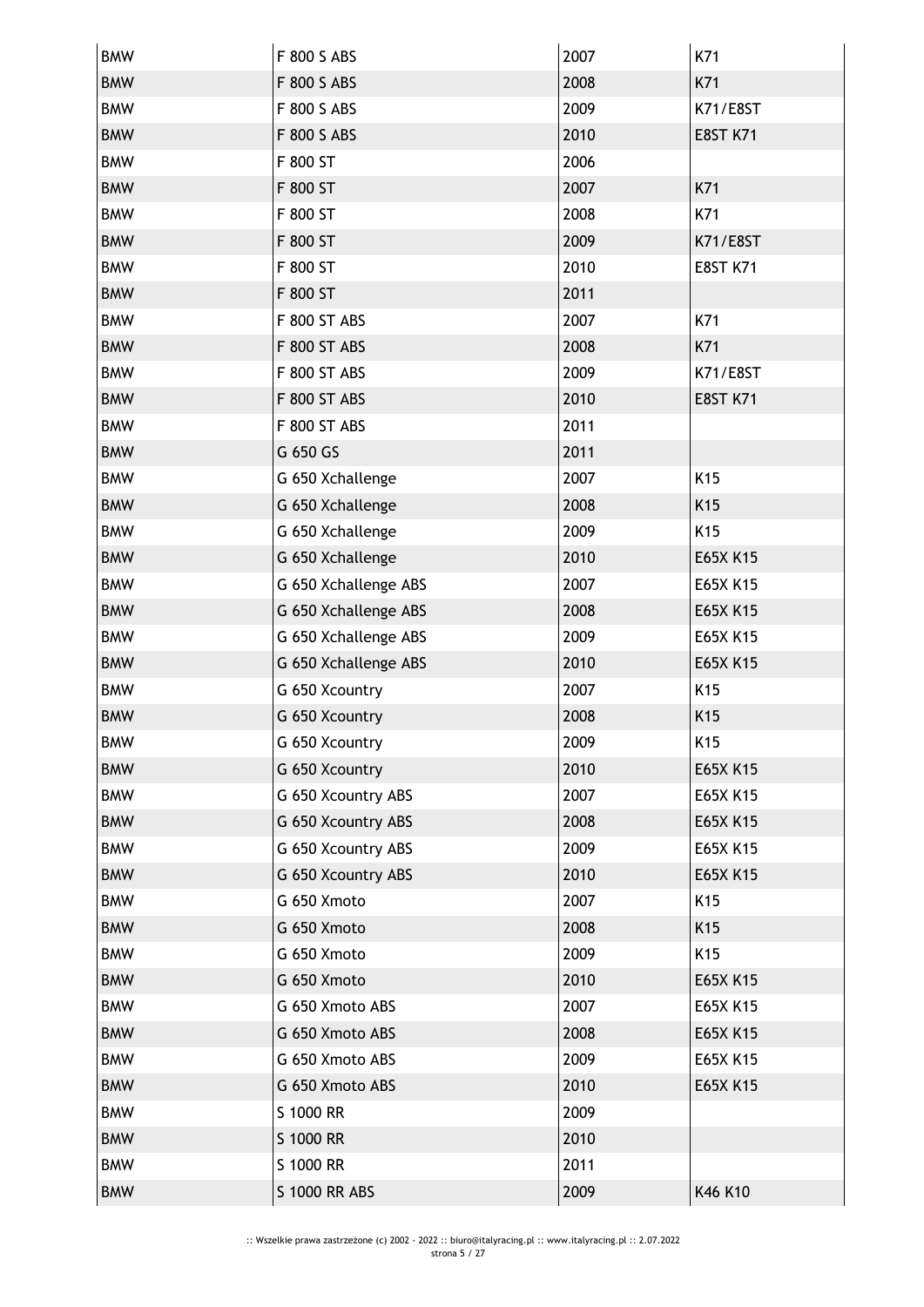| <b>BMW</b> | F 800 S ABS          | 2007 | K71             |
|------------|----------------------|------|-----------------|
| <b>BMW</b> | F 800 S ABS          | 2008 | K71             |
| <b>BMW</b> | F 800 S ABS          | 2009 | K71/E8ST        |
| <b>BMW</b> | F 800 S ABS          | 2010 | <b>E8ST K71</b> |
| <b>BMW</b> | F 800 ST             | 2006 |                 |
| <b>BMW</b> | F 800 ST             | 2007 | K71             |
| <b>BMW</b> | F 800 ST             | 2008 | K71             |
| <b>BMW</b> | F 800 ST             | 2009 | K71/E8ST        |
| <b>BMW</b> | F 800 ST             | 2010 | <b>E8ST K71</b> |
| <b>BMW</b> | F 800 ST             | 2011 |                 |
| <b>BMW</b> | F 800 ST ABS         | 2007 | K71             |
| <b>BMW</b> | F 800 ST ABS         | 2008 | K71             |
| <b>BMW</b> | F 800 ST ABS         | 2009 | K71/E8ST        |
| <b>BMW</b> | F 800 ST ABS         | 2010 | <b>E8ST K71</b> |
| <b>BMW</b> | F 800 ST ABS         | 2011 |                 |
| <b>BMW</b> | G 650 GS             | 2011 |                 |
| <b>BMW</b> | G 650 Xchallenge     | 2007 | K <sub>15</sub> |
| <b>BMW</b> | G 650 Xchallenge     | 2008 | K15             |
| <b>BMW</b> | G 650 Xchallenge     | 2009 | K <sub>15</sub> |
| <b>BMW</b> | G 650 Xchallenge     | 2010 | E65X K15        |
| <b>BMW</b> | G 650 Xchallenge ABS | 2007 | E65X K15        |
| <b>BMW</b> | G 650 Xchallenge ABS | 2008 | E65X K15        |
| <b>BMW</b> | G 650 Xchallenge ABS | 2009 | E65X K15        |
| <b>BMW</b> | G 650 Xchallenge ABS | 2010 | E65X K15        |
| <b>BMW</b> | G 650 Xcountry       | 2007 | K15             |
| <b>BMW</b> | G 650 Xcountry       | 2008 | K15             |
| BMW        | G 650 Xcountry       | 2009 | K15             |
| <b>BMW</b> | G 650 Xcountry       | 2010 | E65X K15        |
| <b>BMW</b> | G 650 Xcountry ABS   | 2007 | E65X K15        |
| <b>BMW</b> | G 650 Xcountry ABS   | 2008 | E65X K15        |
| <b>BMW</b> | G 650 Xcountry ABS   | 2009 | E65X K15        |
| <b>BMW</b> | G 650 Xcountry ABS   | 2010 | E65X K15        |
| <b>BMW</b> | G 650 Xmoto          | 2007 | K15             |
| <b>BMW</b> | G 650 Xmoto          | 2008 | K <sub>15</sub> |
| <b>BMW</b> | G 650 Xmoto          | 2009 | K15             |
| <b>BMW</b> | G 650 Xmoto          | 2010 | E65X K15        |
| <b>BMW</b> | G 650 Xmoto ABS      | 2007 | E65X K15        |
| <b>BMW</b> | G 650 Xmoto ABS      | 2008 | E65X K15        |
| <b>BMW</b> | G 650 Xmoto ABS      | 2009 | E65X K15        |
| <b>BMW</b> | G 650 Xmoto ABS      | 2010 | E65X K15        |
| <b>BMW</b> | S 1000 RR            | 2009 |                 |
| <b>BMW</b> | S 1000 RR            | 2010 |                 |
| <b>BMW</b> | S 1000 RR            | 2011 |                 |
| <b>BMW</b> | S 1000 RR ABS        | 2009 | K46 K10         |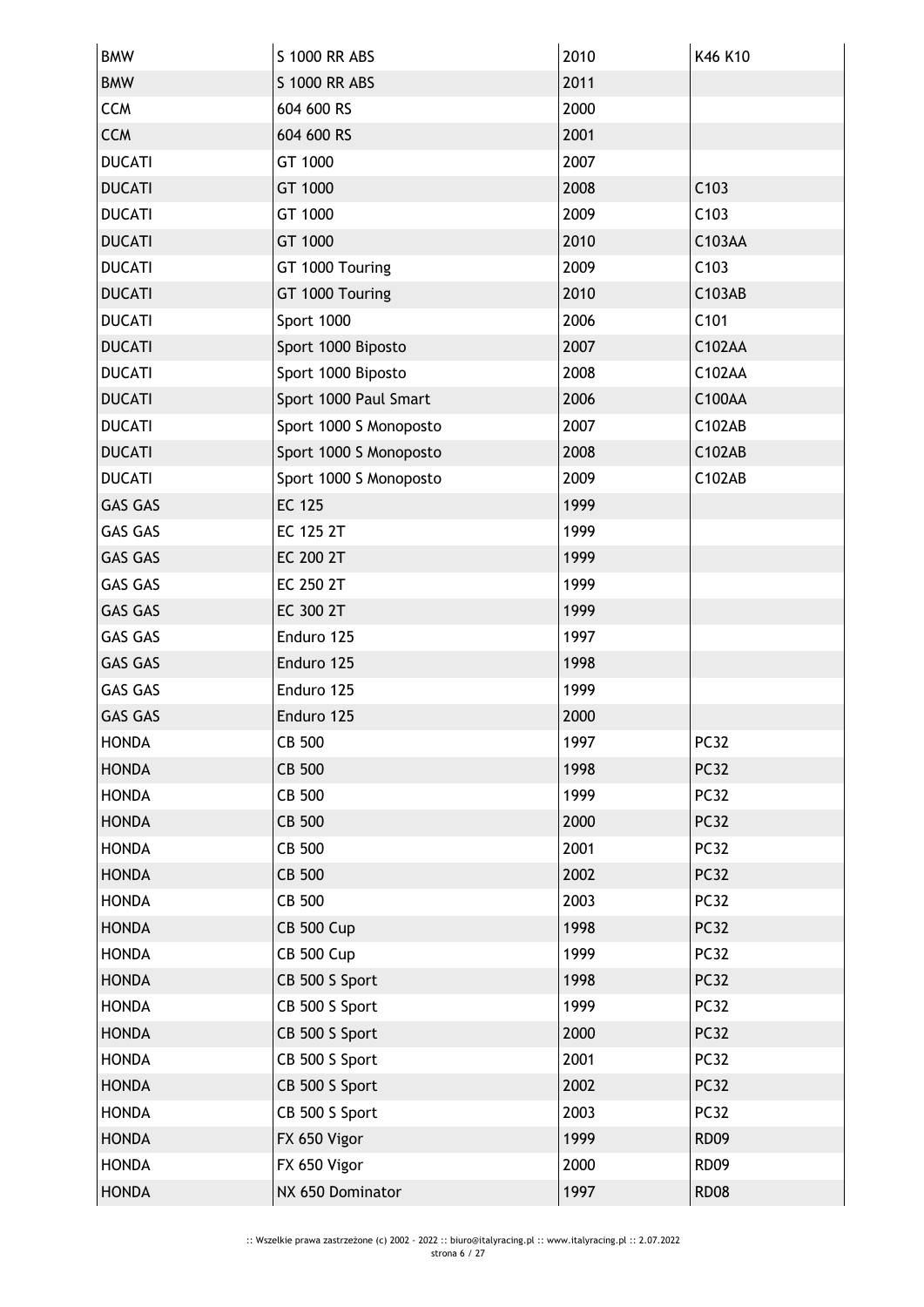| <b>BMW</b>     | S 1000 RR ABS          | 2010 | K46 K10          |
|----------------|------------------------|------|------------------|
| <b>BMW</b>     | S 1000 RR ABS          | 2011 |                  |
| <b>CCM</b>     | 604 600 RS             | 2000 |                  |
| <b>CCM</b>     | 604 600 RS             | 2001 |                  |
| <b>DUCATI</b>  | GT 1000                | 2007 |                  |
| <b>DUCATI</b>  | GT 1000                | 2008 | C103             |
| <b>DUCATI</b>  | GT 1000                | 2009 | C103             |
| <b>DUCATI</b>  | GT 1000                | 2010 | C103AA           |
| <b>DUCATI</b>  | GT 1000 Touring        | 2009 | C103             |
| <b>DUCATI</b>  | GT 1000 Touring        | 2010 | C103AB           |
| <b>DUCATI</b>  | Sport 1000             | 2006 | C101             |
| <b>DUCATI</b>  | Sport 1000 Biposto     | 2007 | C102AA           |
| <b>DUCATI</b>  | Sport 1000 Biposto     | 2008 | C102AA           |
| <b>DUCATI</b>  | Sport 1000 Paul Smart  | 2006 | C100AA           |
| <b>DUCATI</b>  | Sport 1000 S Monoposto | 2007 | C102AB           |
| <b>DUCATI</b>  | Sport 1000 S Monoposto | 2008 | C102AB           |
| <b>DUCATI</b>  | Sport 1000 S Monoposto | 2009 | C102AB           |
| <b>GAS GAS</b> | EC 125                 | 1999 |                  |
| <b>GAS GAS</b> | EC 125 2T              | 1999 |                  |
| <b>GAS GAS</b> | EC 200 2T              | 1999 |                  |
| <b>GAS GAS</b> | EC 250 2T              | 1999 |                  |
| <b>GAS GAS</b> | EC 300 2T              | 1999 |                  |
| <b>GAS GAS</b> | Enduro 125             | 1997 |                  |
| <b>GAS GAS</b> | Enduro 125             | 1998 |                  |
| <b>GAS GAS</b> | Enduro 125             | 1999 |                  |
| <b>GAS GAS</b> | Enduro 125             | 2000 |                  |
| <b>HONDA</b>   | CB 500                 | 1997 | PC <sub>32</sub> |
| <b>HONDA</b>   | <b>CB 500</b>          | 1998 | <b>PC32</b>      |
| <b>HONDA</b>   | CB 500                 | 1999 | <b>PC32</b>      |
| <b>HONDA</b>   | CB 500                 | 2000 | <b>PC32</b>      |
| <b>HONDA</b>   | CB 500                 | 2001 | <b>PC32</b>      |
| <b>HONDA</b>   | CB 500                 | 2002 | <b>PC32</b>      |
| <b>HONDA</b>   | CB 500                 | 2003 | <b>PC32</b>      |
| <b>HONDA</b>   | <b>CB 500 Cup</b>      | 1998 | <b>PC32</b>      |
| <b>HONDA</b>   | <b>CB 500 Cup</b>      | 1999 | <b>PC32</b>      |
| <b>HONDA</b>   | CB 500 S Sport         | 1998 | <b>PC32</b>      |
| <b>HONDA</b>   | CB 500 S Sport         | 1999 | <b>PC32</b>      |
| <b>HONDA</b>   | CB 500 S Sport         | 2000 | <b>PC32</b>      |
| <b>HONDA</b>   | CB 500 S Sport         | 2001 | <b>PC32</b>      |
| <b>HONDA</b>   | CB 500 S Sport         | 2002 | <b>PC32</b>      |
| <b>HONDA</b>   | CB 500 S Sport         | 2003 | <b>PC32</b>      |
| <b>HONDA</b>   | FX 650 Vigor           | 1999 | <b>RD09</b>      |
| <b>HONDA</b>   | FX 650 Vigor           | 2000 | <b>RD09</b>      |
| <b>HONDA</b>   | NX 650 Dominator       | 1997 | <b>RD08</b>      |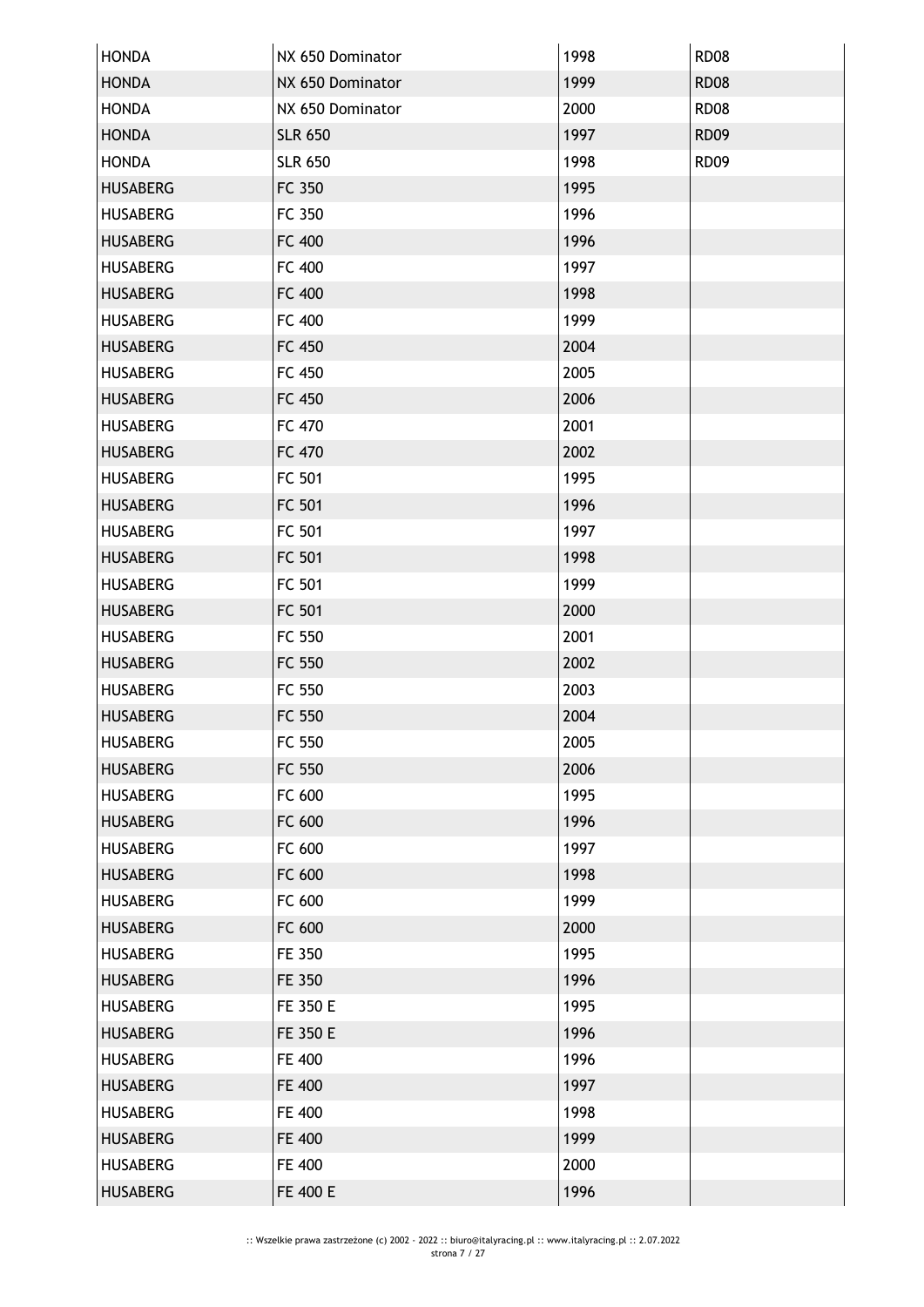| <b>HONDA</b>    | NX 650 Dominator | 1998 | <b>RD08</b> |
|-----------------|------------------|------|-------------|
| <b>HONDA</b>    | NX 650 Dominator | 1999 | <b>RD08</b> |
| <b>HONDA</b>    | NX 650 Dominator | 2000 | <b>RD08</b> |
| <b>HONDA</b>    | <b>SLR 650</b>   | 1997 | <b>RD09</b> |
| <b>HONDA</b>    | <b>SLR 650</b>   | 1998 | <b>RD09</b> |
| <b>HUSABERG</b> | FC 350           | 1995 |             |
| <b>HUSABERG</b> | FC 350           | 1996 |             |
| <b>HUSABERG</b> | FC 400           | 1996 |             |
| <b>HUSABERG</b> | FC 400           | 1997 |             |
| <b>HUSABERG</b> | FC 400           | 1998 |             |
| <b>HUSABERG</b> | FC 400           | 1999 |             |
| <b>HUSABERG</b> | FC 450           | 2004 |             |
| <b>HUSABERG</b> | FC 450           | 2005 |             |
| <b>HUSABERG</b> | FC 450           | 2006 |             |
| <b>HUSABERG</b> | FC 470           | 2001 |             |
| <b>HUSABERG</b> | FC 470           | 2002 |             |
| <b>HUSABERG</b> | FC 501           | 1995 |             |
| <b>HUSABERG</b> | FC 501           | 1996 |             |
| <b>HUSABERG</b> | FC 501           | 1997 |             |
| <b>HUSABERG</b> | FC 501           | 1998 |             |
| <b>HUSABERG</b> | FC 501           | 1999 |             |
| <b>HUSABERG</b> | FC 501           | 2000 |             |
| <b>HUSABERG</b> | FC 550           | 2001 |             |
| <b>HUSABERG</b> | FC 550           | 2002 |             |
| <b>HUSABERG</b> | FC 550           | 2003 |             |
| <b>HUSABERG</b> | FC 550           | 2004 |             |
| <b>HUSABERG</b> | FC 550           | 2005 |             |
| <b>HUSABERG</b> | FC 550           | 2006 |             |
| <b>HUSABERG</b> | FC 600           | 1995 |             |
| <b>HUSABERG</b> | FC 600           | 1996 |             |
| <b>HUSABERG</b> | FC 600           | 1997 |             |
| <b>HUSABERG</b> | FC 600           | 1998 |             |
| <b>HUSABERG</b> | FC 600           | 1999 |             |
| <b>HUSABERG</b> | FC 600           | 2000 |             |
| <b>HUSABERG</b> | FE 350           | 1995 |             |
| <b>HUSABERG</b> | FE 350           | 1996 |             |
| <b>HUSABERG</b> | FE 350 E         | 1995 |             |
| <b>HUSABERG</b> | FE 350 E         | 1996 |             |
| <b>HUSABERG</b> | FE 400           | 1996 |             |
| <b>HUSABERG</b> | FE 400           | 1997 |             |
| <b>HUSABERG</b> | FE 400           | 1998 |             |
| <b>HUSABERG</b> | FE 400           | 1999 |             |
| <b>HUSABERG</b> | FE 400           | 2000 |             |
| <b>HUSABERG</b> | FE 400 E         | 1996 |             |
|                 |                  |      |             |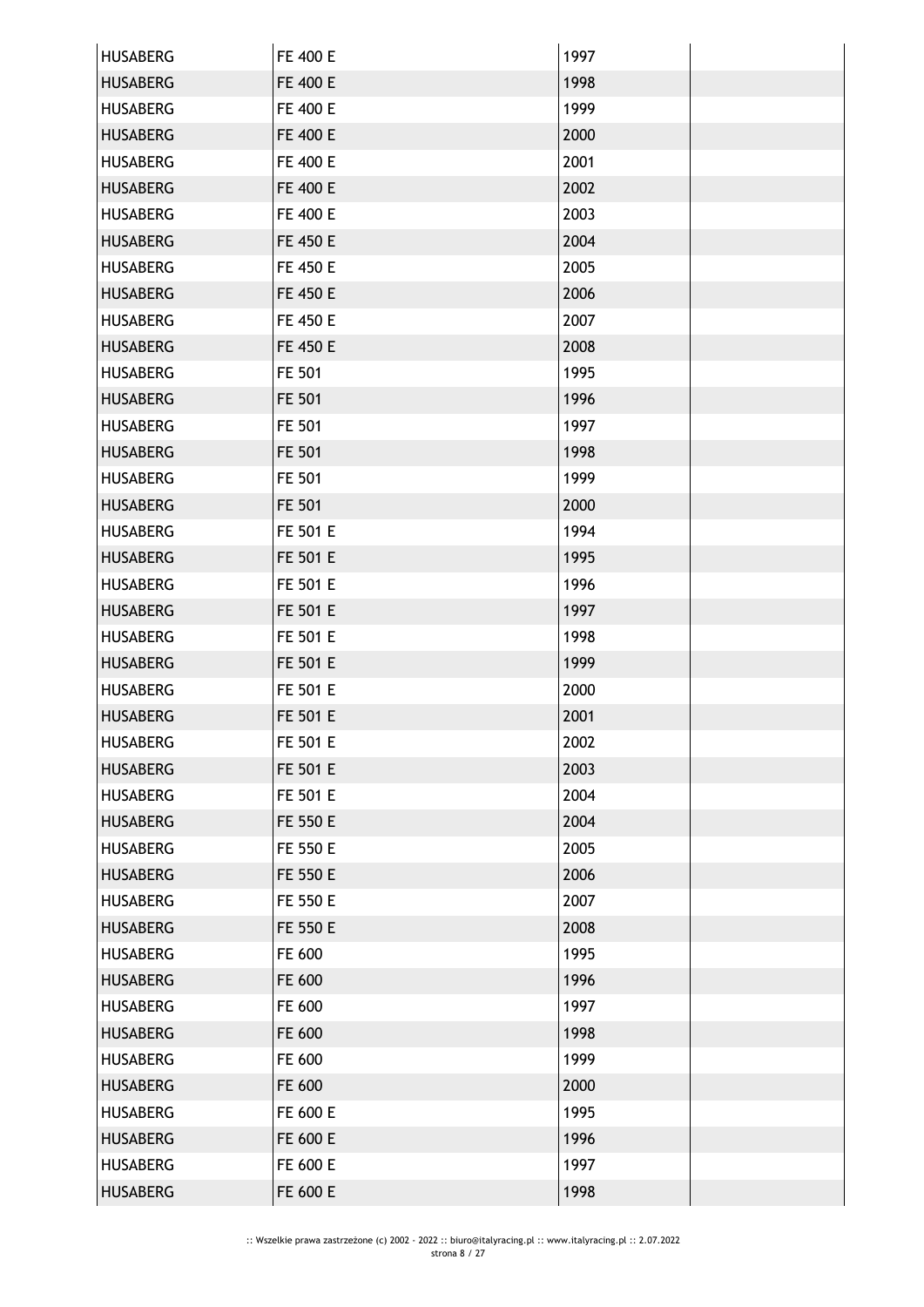| <b>HUSABERG</b> | FE 400 E | 1997 |  |
|-----------------|----------|------|--|
| <b>HUSABERG</b> | FE 400 E | 1998 |  |
| <b>HUSABERG</b> | FE 400 E | 1999 |  |
| <b>HUSABERG</b> | FE 400 E | 2000 |  |
| <b>HUSABERG</b> | FE 400 E | 2001 |  |
| <b>HUSABERG</b> | FE 400 E | 2002 |  |
| <b>HUSABERG</b> | FE 400 E | 2003 |  |
| <b>HUSABERG</b> | FE 450 E | 2004 |  |
| <b>HUSABERG</b> | FE 450 E | 2005 |  |
| <b>HUSABERG</b> | FE 450 E | 2006 |  |
| <b>HUSABERG</b> | FE 450 E | 2007 |  |
| <b>HUSABERG</b> | FE 450 E | 2008 |  |
| <b>HUSABERG</b> | FE 501   | 1995 |  |
| <b>HUSABERG</b> | FE 501   | 1996 |  |
| <b>HUSABERG</b> | FE 501   | 1997 |  |
| <b>HUSABERG</b> | FE 501   | 1998 |  |
| <b>HUSABERG</b> | FE 501   | 1999 |  |
| <b>HUSABERG</b> | FE 501   | 2000 |  |
| <b>HUSABERG</b> | FE 501 E | 1994 |  |
| <b>HUSABERG</b> | FE 501 E | 1995 |  |
| <b>HUSABERG</b> | FE 501 E | 1996 |  |
| <b>HUSABERG</b> | FE 501 E | 1997 |  |
| <b>HUSABERG</b> | FE 501 E | 1998 |  |
| <b>HUSABERG</b> | FE 501 E | 1999 |  |
| <b>HUSABERG</b> | FE 501 E | 2000 |  |
| <b>HUSABERG</b> | FE 501 E | 2001 |  |
| <b>HUSABERG</b> | FE 501 E | 2002 |  |
| <b>HUSABERG</b> | FE 501 E | 2003 |  |
| <b>HUSABERG</b> | FE 501 E | 2004 |  |
| <b>HUSABERG</b> | FE 550 E | 2004 |  |
| <b>HUSABERG</b> | FE 550 E | 2005 |  |
| <b>HUSABERG</b> | FE 550 E | 2006 |  |
| <b>HUSABERG</b> | FE 550 E | 2007 |  |
| <b>HUSABERG</b> | FE 550 E | 2008 |  |
| <b>HUSABERG</b> | FE 600   | 1995 |  |
| <b>HUSABERG</b> | FE 600   | 1996 |  |
| <b>HUSABERG</b> | FE 600   | 1997 |  |
| <b>HUSABERG</b> | FE 600   | 1998 |  |
| <b>HUSABERG</b> | FE 600   | 1999 |  |
| <b>HUSABERG</b> | FE 600   | 2000 |  |
| <b>HUSABERG</b> | FE 600 E | 1995 |  |
| <b>HUSABERG</b> | FE 600 E | 1996 |  |
| <b>HUSABERG</b> | FE 600 E | 1997 |  |
| <b>HUSABERG</b> | FE 600 E | 1998 |  |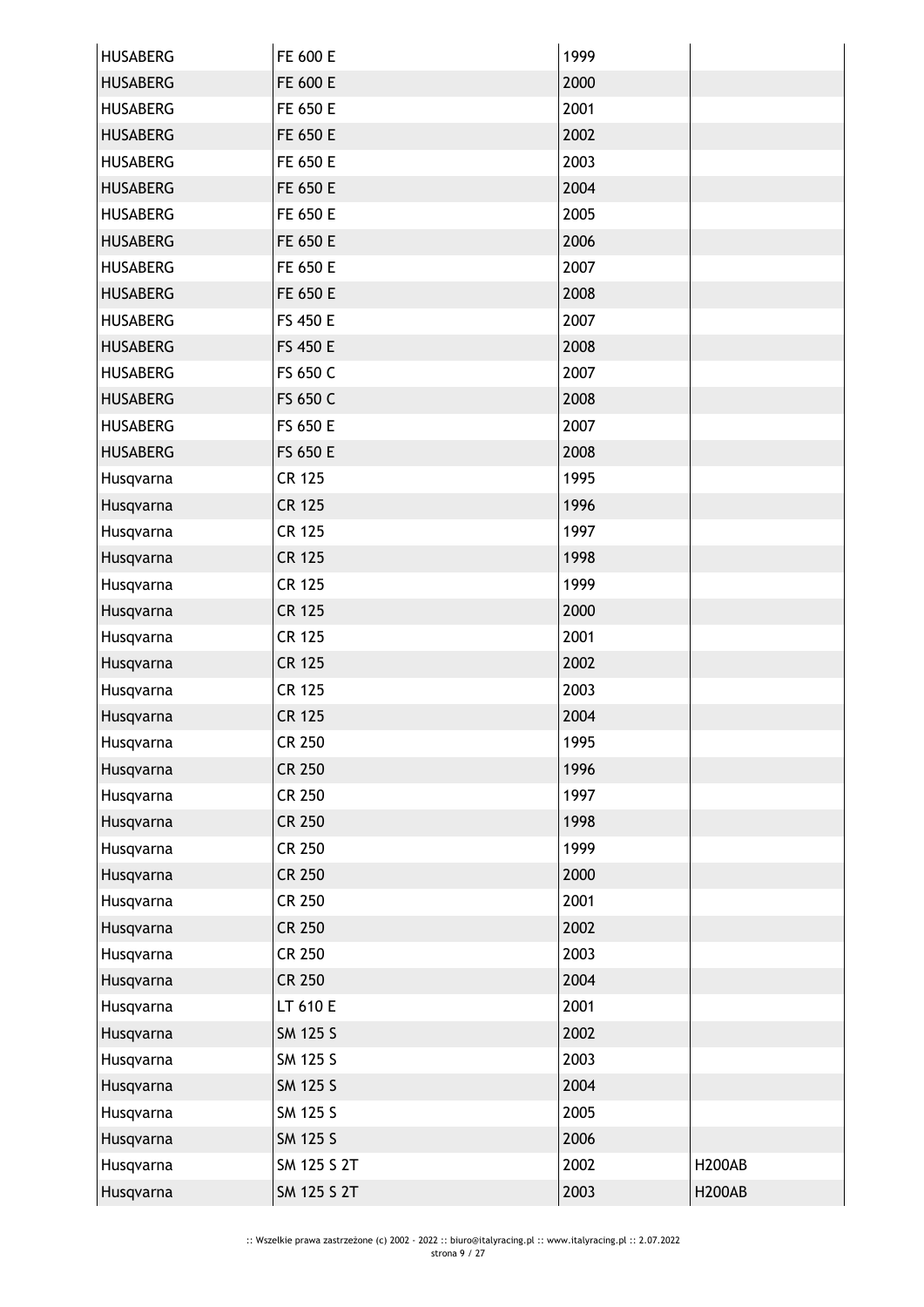| <b>HUSABERG</b> | FE 600 E      | 1999 |               |
|-----------------|---------------|------|---------------|
| <b>HUSABERG</b> | FE 600 E      | 2000 |               |
| <b>HUSABERG</b> | FE 650 E      | 2001 |               |
| <b>HUSABERG</b> | FE 650 E      | 2002 |               |
| <b>HUSABERG</b> | FE 650 E      | 2003 |               |
| <b>HUSABERG</b> | FE 650 E      | 2004 |               |
| <b>HUSABERG</b> | FE 650 E      | 2005 |               |
| <b>HUSABERG</b> | FE 650 E      | 2006 |               |
| <b>HUSABERG</b> | FE 650 E      | 2007 |               |
| <b>HUSABERG</b> | FE 650 E      | 2008 |               |
| <b>HUSABERG</b> | FS 450 E      | 2007 |               |
| <b>HUSABERG</b> | FS 450 E      | 2008 |               |
| <b>HUSABERG</b> | FS 650 C      | 2007 |               |
| <b>HUSABERG</b> | FS 650 C      | 2008 |               |
| <b>HUSABERG</b> | FS 650 E      | 2007 |               |
| <b>HUSABERG</b> | FS 650 E      | 2008 |               |
| Husqvarna       | <b>CR 125</b> | 1995 |               |
| Husqvarna       | <b>CR 125</b> | 1996 |               |
| Husqvarna       | <b>CR 125</b> | 1997 |               |
| Husqvarna       | <b>CR 125</b> | 1998 |               |
| Husqvarna       | <b>CR 125</b> | 1999 |               |
| Husqvarna       | <b>CR 125</b> | 2000 |               |
| Husqvarna       | <b>CR 125</b> | 2001 |               |
| Husqvarna       | <b>CR 125</b> | 2002 |               |
| Husqvarna       | CR 125        | 2003 |               |
| Husqvarna       | <b>CR 125</b> | 2004 |               |
| Husqvarna       | <b>CR 250</b> | 1995 |               |
| Husqvarna       | <b>CR 250</b> | 1996 |               |
| Husqvarna       | CR 250        | 1997 |               |
| Husqvarna       | <b>CR 250</b> | 1998 |               |
| Husqvarna       | CR 250        | 1999 |               |
| Husqvarna       | <b>CR 250</b> | 2000 |               |
| Husqvarna       | CR 250        | 2001 |               |
| Husqvarna       | <b>CR 250</b> | 2002 |               |
| Husqvarna       | CR 250        | 2003 |               |
| Husqvarna       | <b>CR 250</b> | 2004 |               |
| Husqvarna       | LT 610 E      | 2001 |               |
| Husqvarna       | SM 125 S      | 2002 |               |
| Husqvarna       | SM 125 S      | 2003 |               |
| Husqvarna       | SM 125 S      | 2004 |               |
| Husqvarna       | SM 125 S      | 2005 |               |
| Husqvarna       | SM 125 S      | 2006 |               |
| Husqvarna       |               |      |               |
|                 | SM 125 S 2T   | 2002 | <b>H200AB</b> |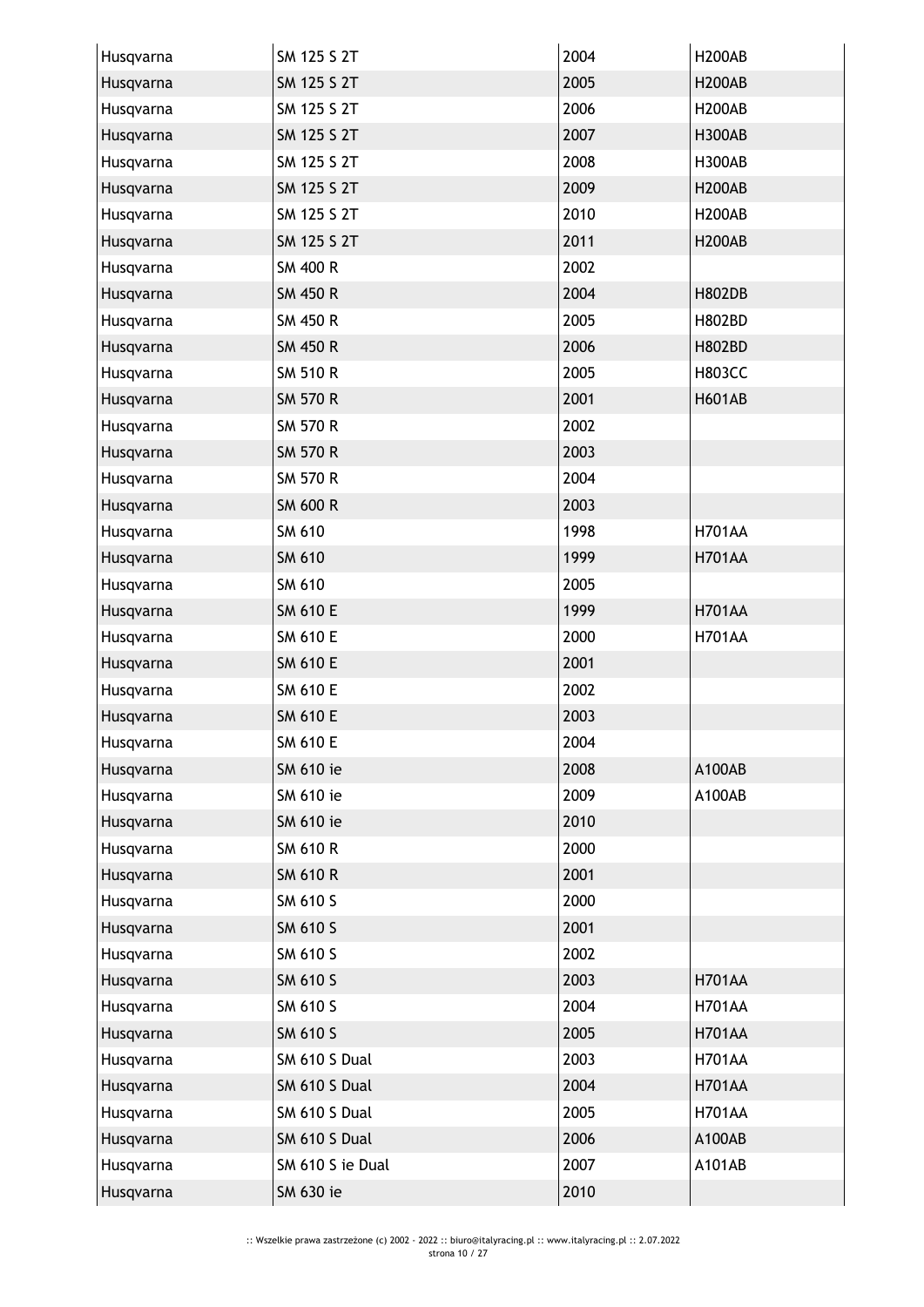| Husqvarna | SM 125 S 2T          | 2004 | <b>H200AB</b> |
|-----------|----------------------|------|---------------|
| Husqvarna | SM 125 S 2T          | 2005 | <b>H200AB</b> |
| Husqvarna | SM 125 S 2T          | 2006 | <b>H200AB</b> |
| Husqvarna | SM 125 S 2T          | 2007 | <b>H300AB</b> |
| Husqvarna | SM 125 S 2T          | 2008 | <b>H300AB</b> |
| Husqvarna | SM 125 S 2T          | 2009 | <b>H200AB</b> |
| Husqvarna | SM 125 S 2T          | 2010 | <b>H200AB</b> |
| Husqvarna | SM 125 S 2T          | 2011 | <b>H200AB</b> |
| Husqvarna | SM 400 R             | 2002 |               |
| Husqvarna | <b>SM 450 R</b>      | 2004 | <b>H802DB</b> |
| Husqvarna | SM 450 R             | 2005 | <b>H802BD</b> |
| Husqvarna | <b>SM 450 R</b>      | 2006 | <b>H802BD</b> |
| Husqvarna | <b>SM 510 R</b>      | 2005 | <b>H803CC</b> |
| Husqvarna | <b>SM 570 R</b>      | 2001 | <b>H601AB</b> |
| Husqvarna | SM 570 R             | 2002 |               |
| Husqvarna | <b>SM 570 R</b>      | 2003 |               |
| Husqvarna | SM 570 R             | 2004 |               |
| Husqvarna | SM 600 R             | 2003 |               |
| Husqvarna | SM 610               | 1998 | <b>H701AA</b> |
| Husqvarna | SM 610               | 1999 | <b>H701AA</b> |
| Husqvarna | SM 610               | 2005 |               |
| Husqvarna | <b>SM 610 E</b>      | 1999 | <b>H701AA</b> |
| Husqvarna | SM 610 E             | 2000 | <b>H701AA</b> |
| Husqvarna | <b>SM 610 E</b>      | 2001 |               |
| Husqvarna | SM 610 E             | 2002 |               |
| Husqvarna | SM 610 E             | 2003 |               |
| Husqvarna | SM 610 E             | 2004 |               |
| Husqvarna | SM 610 ie            | 2008 | A100AB        |
| Husqvarna | SM 610 ie            | 2009 | A100AB        |
| Husqvarna | SM 610 ie            | 2010 |               |
| Husqvarna | <b>SM 610 R</b>      | 2000 |               |
| Husqvarna | <b>SM 610 R</b>      | 2001 |               |
| Husqvarna | SM 610 S             | 2000 |               |
| Husqvarna | SM 610 S             | 2001 |               |
| Husqvarna | SM 610 S             | 2002 |               |
| Husqvarna | SM 610 S             | 2003 | <b>H701AA</b> |
| Husqvarna | SM 610 S             | 2004 | <b>H701AA</b> |
| Husqvarna | SM 610 S             | 2005 | <b>H701AA</b> |
| Husqvarna | <b>SM 610 S Dual</b> | 2003 | <b>H701AA</b> |
| Husqvarna | SM 610 S Dual        | 2004 | <b>H701AA</b> |
| Husqvarna | SM 610 S Dual        | 2005 | <b>H701AA</b> |
| Husqvarna | SM 610 S Dual        | 2006 | A100AB        |
| Husqvarna | SM 610 S ie Dual     | 2007 | A101AB        |
| Husqvarna | SM 630 ie            | 2010 |               |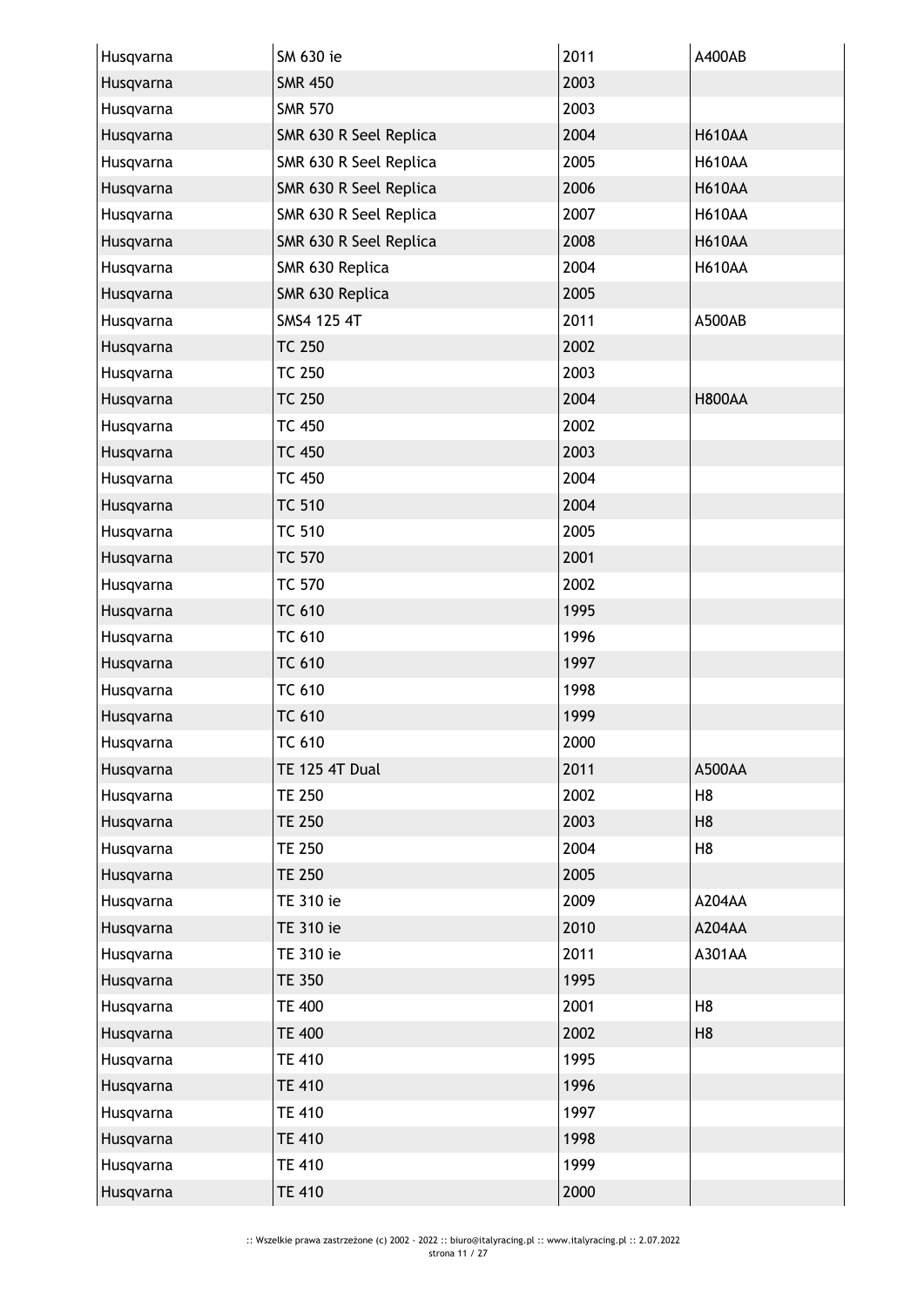| Husqvarna | SM 630 ie              | 2011 | A400AB         |
|-----------|------------------------|------|----------------|
| Husqvarna | <b>SMR 450</b>         | 2003 |                |
| Husqvarna | <b>SMR 570</b>         | 2003 |                |
| Husqvarna | SMR 630 R Seel Replica | 2004 | <b>H610AA</b>  |
| Husqvarna | SMR 630 R Seel Replica | 2005 | <b>H610AA</b>  |
| Husqvarna | SMR 630 R Seel Replica | 2006 | <b>H610AA</b>  |
| Husqvarna | SMR 630 R Seel Replica | 2007 | <b>H610AA</b>  |
| Husqvarna | SMR 630 R Seel Replica | 2008 | <b>H610AA</b>  |
| Husqvarna | SMR 630 Replica        | 2004 | <b>H610AA</b>  |
| Husqvarna | SMR 630 Replica        | 2005 |                |
| Husqvarna | SMS4 125 4T            | 2011 | A500AB         |
| Husqvarna | <b>TC 250</b>          | 2002 |                |
| Husqvarna | <b>TC 250</b>          | 2003 |                |
| Husqvarna | <b>TC 250</b>          | 2004 | <b>H800AA</b>  |
| Husqvarna | <b>TC 450</b>          | 2002 |                |
| Husqvarna | <b>TC 450</b>          | 2003 |                |
| Husqvarna | <b>TC 450</b>          | 2004 |                |
| Husqvarna | <b>TC 510</b>          | 2004 |                |
| Husqvarna | <b>TC 510</b>          | 2005 |                |
| Husqvarna | <b>TC 570</b>          | 2001 |                |
| Husqvarna | <b>TC 570</b>          | 2002 |                |
| Husqvarna | <b>TC 610</b>          | 1995 |                |
| Husqvarna | <b>TC 610</b>          | 1996 |                |
| Husqvarna | <b>TC 610</b>          | 1997 |                |
| Husqvarna | <b>TC 610</b>          | 1998 |                |
| Husqvarna | <b>TC 610</b>          | 1999 |                |
| Husqvarna | TC 610                 | 2000 |                |
| Husqvarna | <b>TE 125 4T Dual</b>  | 2011 | A500AA         |
| Husqvarna | <b>TE 250</b>          | 2002 | H <sub>8</sub> |
| Husqvarna | <b>TE 250</b>          | 2003 | H <sub>8</sub> |
| Husqvarna | <b>TE 250</b>          | 2004 | H <sub>8</sub> |
| Husqvarna | <b>TE 250</b>          | 2005 |                |
| Husqvarna | TE 310 ie              | 2009 | A204AA         |
| Husqvarna | TE 310 ie              | 2010 | A204AA         |
| Husqvarna | TE 310 ie              | 2011 | A301AA         |
| Husqvarna | <b>TE 350</b>          | 1995 |                |
| Husqvarna | <b>TE 400</b>          | 2001 | H <sub>8</sub> |
| Husqvarna | <b>TE 400</b>          | 2002 | H <sub>8</sub> |
| Husqvarna | <b>TE 410</b>          | 1995 |                |
| Husqvarna | <b>TE 410</b>          | 1996 |                |
| Husqvarna | <b>TE 410</b>          | 1997 |                |
| Husqvarna | <b>TE 410</b>          | 1998 |                |
| Husqvarna | <b>TE 410</b>          | 1999 |                |
| Husqvarna | <b>TE 410</b>          | 2000 |                |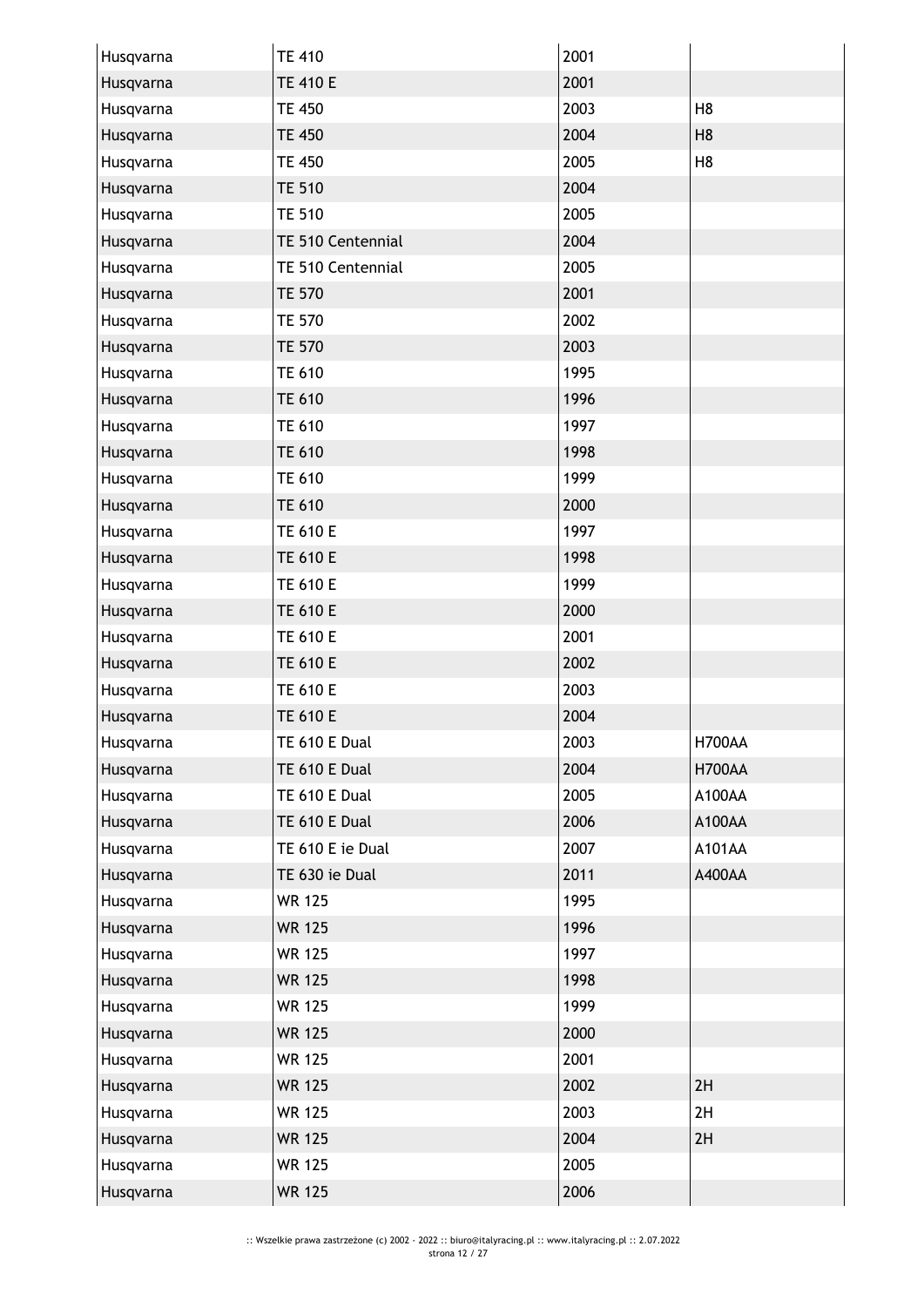| Husqvarna | <b>TE 410</b>     | 2001 |                |
|-----------|-------------------|------|----------------|
| Husqvarna | <b>TE 410 E</b>   | 2001 |                |
| Husqvarna | <b>TE 450</b>     | 2003 | H <sub>8</sub> |
| Husqvarna | <b>TE 450</b>     | 2004 | H <sub>8</sub> |
| Husqvarna | <b>TE 450</b>     | 2005 | H <sub>8</sub> |
| Husqvarna | <b>TE 510</b>     | 2004 |                |
| Husqvarna | <b>TE 510</b>     | 2005 |                |
| Husqvarna | TE 510 Centennial | 2004 |                |
| Husqvarna | TE 510 Centennial | 2005 |                |
| Husqvarna | <b>TE 570</b>     | 2001 |                |
| Husqvarna | <b>TE 570</b>     | 2002 |                |
| Husqvarna | <b>TE 570</b>     | 2003 |                |
| Husqvarna | <b>TE 610</b>     | 1995 |                |
| Husqvarna | <b>TE 610</b>     | 1996 |                |
| Husqvarna | <b>TE 610</b>     | 1997 |                |
| Husqvarna | <b>TE 610</b>     | 1998 |                |
| Husqvarna | <b>TE 610</b>     | 1999 |                |
| Husqvarna | <b>TE 610</b>     | 2000 |                |
| Husqvarna | TE 610 E          | 1997 |                |
| Husqvarna | <b>TE 610 E</b>   | 1998 |                |
| Husqvarna | TE 610 E          | 1999 |                |
| Husqvarna | <b>TE 610 E</b>   | 2000 |                |
| Husqvarna | TE 610 E          | 2001 |                |
| Husqvarna | <b>TE 610 E</b>   | 2002 |                |
| Husqvarna | TE 610 E          | 2003 |                |
| Husqvarna | <b>TE 610 E</b>   | 2004 |                |
| Husqvarna | TE 610 E Dual     | 2003 | <b>H700AA</b>  |
| Husqvarna | TE 610 E Dual     | 2004 | <b>H700AA</b>  |
| Husqvarna | TE 610 E Dual     | 2005 | A100AA         |
| Husqvarna | TE 610 E Dual     | 2006 | A100AA         |
| Husqvarna | TE 610 E ie Dual  | 2007 | A101AA         |
| Husqvarna | TE 630 ie Dual    | 2011 | A400AA         |
| Husqvarna | <b>WR 125</b>     | 1995 |                |
| Husqvarna | <b>WR 125</b>     | 1996 |                |
| Husqvarna | <b>WR 125</b>     | 1997 |                |
| Husqvarna | <b>WR 125</b>     | 1998 |                |
| Husqvarna | <b>WR 125</b>     | 1999 |                |
| Husqvarna | <b>WR 125</b>     | 2000 |                |
| Husqvarna | <b>WR 125</b>     | 2001 |                |
| Husqvarna | <b>WR 125</b>     | 2002 | 2H             |
| Husqvarna | <b>WR 125</b>     | 2003 | 2H             |
| Husqvarna | <b>WR 125</b>     | 2004 | 2H             |
| Husqvarna | <b>WR 125</b>     | 2005 |                |
| Husqvarna | <b>WR 125</b>     | 2006 |                |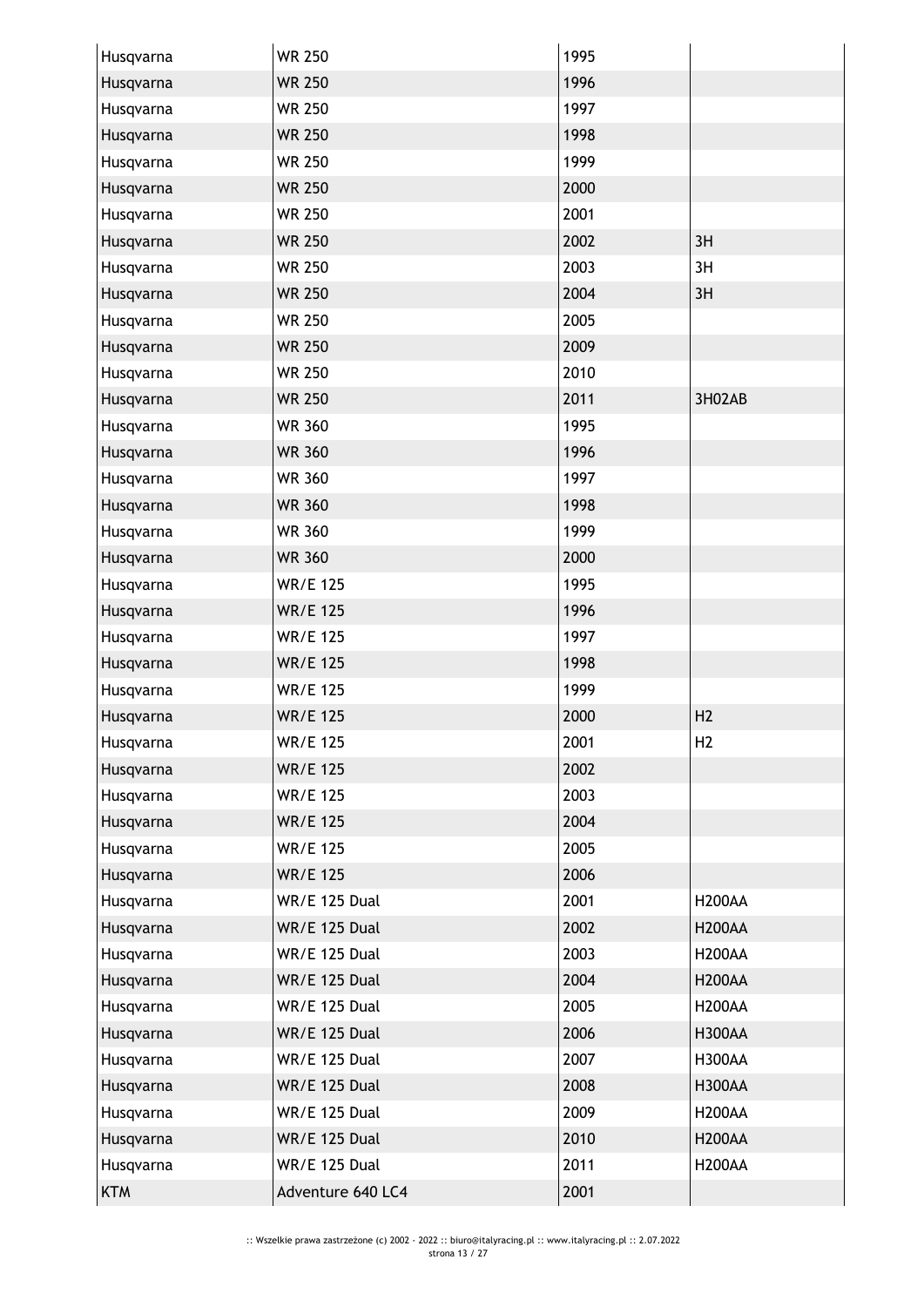| Husqvarna  | <b>WR 250</b>        | 1995 |                |
|------------|----------------------|------|----------------|
| Husqvarna  | <b>WR 250</b>        | 1996 |                |
| Husqvarna  | <b>WR 250</b>        | 1997 |                |
| Husqvarna  | <b>WR 250</b>        | 1998 |                |
| Husqvarna  | <b>WR 250</b>        | 1999 |                |
| Husqvarna  | <b>WR 250</b>        | 2000 |                |
| Husqvarna  | <b>WR 250</b>        | 2001 |                |
| Husqvarna  | <b>WR 250</b>        | 2002 | 3H             |
| Husqvarna  | <b>WR 250</b>        | 2003 | 3H             |
| Husqvarna  | <b>WR 250</b>        | 2004 | 3H             |
| Husqvarna  | <b>WR 250</b>        | 2005 |                |
| Husqvarna  | <b>WR 250</b>        | 2009 |                |
| Husqvarna  | <b>WR 250</b>        | 2010 |                |
| Husqvarna  | <b>WR 250</b>        | 2011 | 3H02AB         |
| Husqvarna  | <b>WR 360</b>        | 1995 |                |
| Husqvarna  | <b>WR 360</b>        | 1996 |                |
| Husqvarna  | <b>WR 360</b>        | 1997 |                |
| Husqvarna  | <b>WR 360</b>        | 1998 |                |
| Husqvarna  | <b>WR 360</b>        | 1999 |                |
| Husqvarna  | <b>WR 360</b>        | 2000 |                |
| Husqvarna  | <b>WR/E 125</b>      | 1995 |                |
| Husqvarna  | <b>WR/E 125</b>      | 1996 |                |
| Husqvarna  | <b>WR/E 125</b>      | 1997 |                |
| Husqvarna  | <b>WR/E 125</b>      | 1998 |                |
| Husqvarna  | <b>WR/E 125</b>      | 1999 |                |
| Husqvarna  | <b>WR/E 125</b>      | 2000 | H <sub>2</sub> |
| Husqvarna  | <b>WR/E 125</b>      | 2001 | H2             |
| Husqvarna  | <b>WR/E 125</b>      | 2002 |                |
| Husqvarna  | <b>WR/E 125</b>      | 2003 |                |
| Husqvarna  | <b>WR/E 125</b>      | 2004 |                |
| Husqvarna  | <b>WR/E 125</b>      | 2005 |                |
| Husqvarna  | <b>WR/E 125</b>      | 2006 |                |
| Husqvarna  | <b>WR/E 125 Dual</b> | 2001 | <b>H200AA</b>  |
| Husqvarna  | <b>WR/E 125 Dual</b> | 2002 | <b>H200AA</b>  |
| Husqvarna  | WR/E 125 Dual        | 2003 | <b>H200AA</b>  |
| Husqvarna  | <b>WR/E 125 Dual</b> | 2004 | <b>H200AA</b>  |
| Husqvarna  | <b>WR/E 125 Dual</b> | 2005 | <b>H200AA</b>  |
| Husqvarna  | <b>WR/E 125 Dual</b> | 2006 | <b>H300AA</b>  |
| Husqvarna  | WR/E 125 Dual        | 2007 | <b>H300AA</b>  |
| Husqvarna  | <b>WR/E 125 Dual</b> | 2008 | <b>H300AA</b>  |
| Husqvarna  | <b>WR/E 125 Dual</b> | 2009 | <b>H200AA</b>  |
| Husqvarna  | <b>WR/E 125 Dual</b> | 2010 | <b>H200AA</b>  |
| Husqvarna  | <b>WR/E 125 Dual</b> | 2011 | <b>H200AA</b>  |
| <b>KTM</b> | Adventure 640 LC4    | 2001 |                |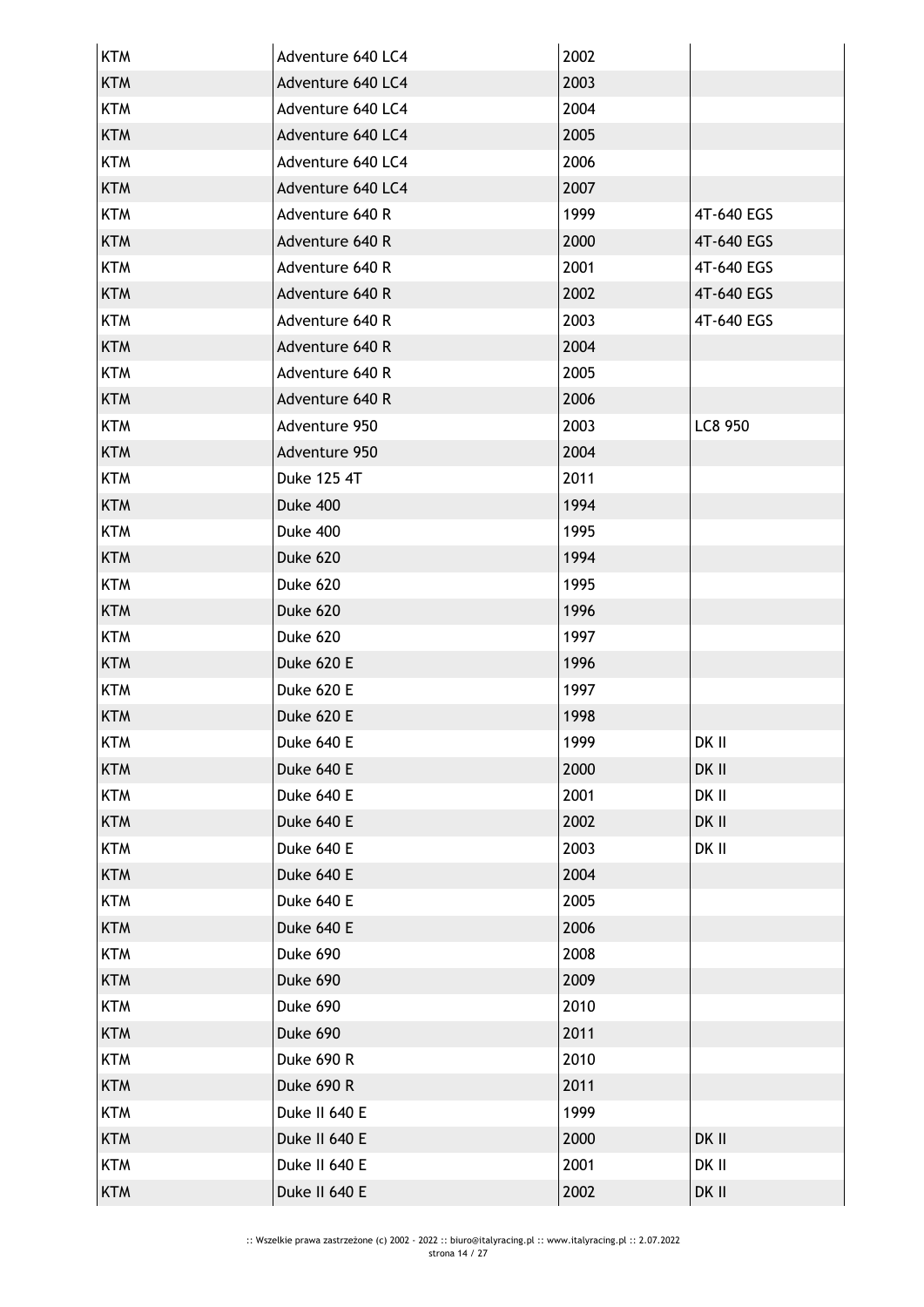| <b>KTM</b> | Adventure 640 LC4 | 2002 |            |
|------------|-------------------|------|------------|
| <b>KTM</b> | Adventure 640 LC4 | 2003 |            |
| <b>KTM</b> | Adventure 640 LC4 | 2004 |            |
| <b>KTM</b> | Adventure 640 LC4 | 2005 |            |
| <b>KTM</b> | Adventure 640 LC4 | 2006 |            |
| <b>KTM</b> | Adventure 640 LC4 | 2007 |            |
| <b>KTM</b> | Adventure 640 R   | 1999 | 4T-640 EGS |
| <b>KTM</b> | Adventure 640 R   | 2000 | 4T-640 EGS |
| <b>KTM</b> | Adventure 640 R   | 2001 | 4T-640 EGS |
| <b>KTM</b> | Adventure 640 R   | 2002 | 4T-640 EGS |
| <b>KTM</b> | Adventure 640 R   | 2003 | 4T-640 EGS |
| <b>KTM</b> | Adventure 640 R   | 2004 |            |
| <b>KTM</b> | Adventure 640 R   | 2005 |            |
| <b>KTM</b> | Adventure 640 R   | 2006 |            |
| <b>KTM</b> | Adventure 950     | 2003 | LC8 950    |
| <b>KTM</b> | Adventure 950     | 2004 |            |
| <b>KTM</b> | Duke 125 4T       | 2011 |            |
| <b>KTM</b> | Duke 400          | 1994 |            |
| <b>KTM</b> | <b>Duke 400</b>   | 1995 |            |
| <b>KTM</b> | Duke 620          | 1994 |            |
| <b>KTM</b> | Duke 620          | 1995 |            |
| <b>KTM</b> | Duke 620          | 1996 |            |
| <b>KTM</b> | Duke 620          | 1997 |            |
| <b>KTM</b> | Duke 620 E        | 1996 |            |
| <b>KTM</b> | Duke 620 E        | 1997 |            |
| <b>KTM</b> | Duke 620 E        | 1998 |            |
| <b>KTM</b> | Duke 640 E        | 1999 | DK II      |
| <b>KTM</b> | Duke 640 E        | 2000 | DK II      |
| <b>KTM</b> | Duke 640 E        | 2001 | DK II      |
| <b>KTM</b> | Duke 640 E        | 2002 | DK II      |
| <b>KTM</b> | Duke 640 E        | 2003 | DK II      |
| <b>KTM</b> | Duke 640 E        | 2004 |            |
| <b>KTM</b> | Duke 640 E        | 2005 |            |
| <b>KTM</b> | Duke 640 E        | 2006 |            |
| <b>KTM</b> | Duke 690          | 2008 |            |
| <b>KTM</b> | Duke 690          | 2009 |            |
| <b>KTM</b> | Duke 690          | 2010 |            |
| <b>KTM</b> | Duke 690          | 2011 |            |
| <b>KTM</b> | <b>Duke 690 R</b> | 2010 |            |
| <b>KTM</b> | <b>Duke 690 R</b> | 2011 |            |
| <b>KTM</b> | Duke II 640 E     | 1999 |            |
| <b>KTM</b> | Duke II 640 E     | 2000 | DK II      |
| <b>KTM</b> | Duke II 640 E     | 2001 | DK II      |
| <b>KTM</b> | Duke II 640 E     | 2002 | DK II      |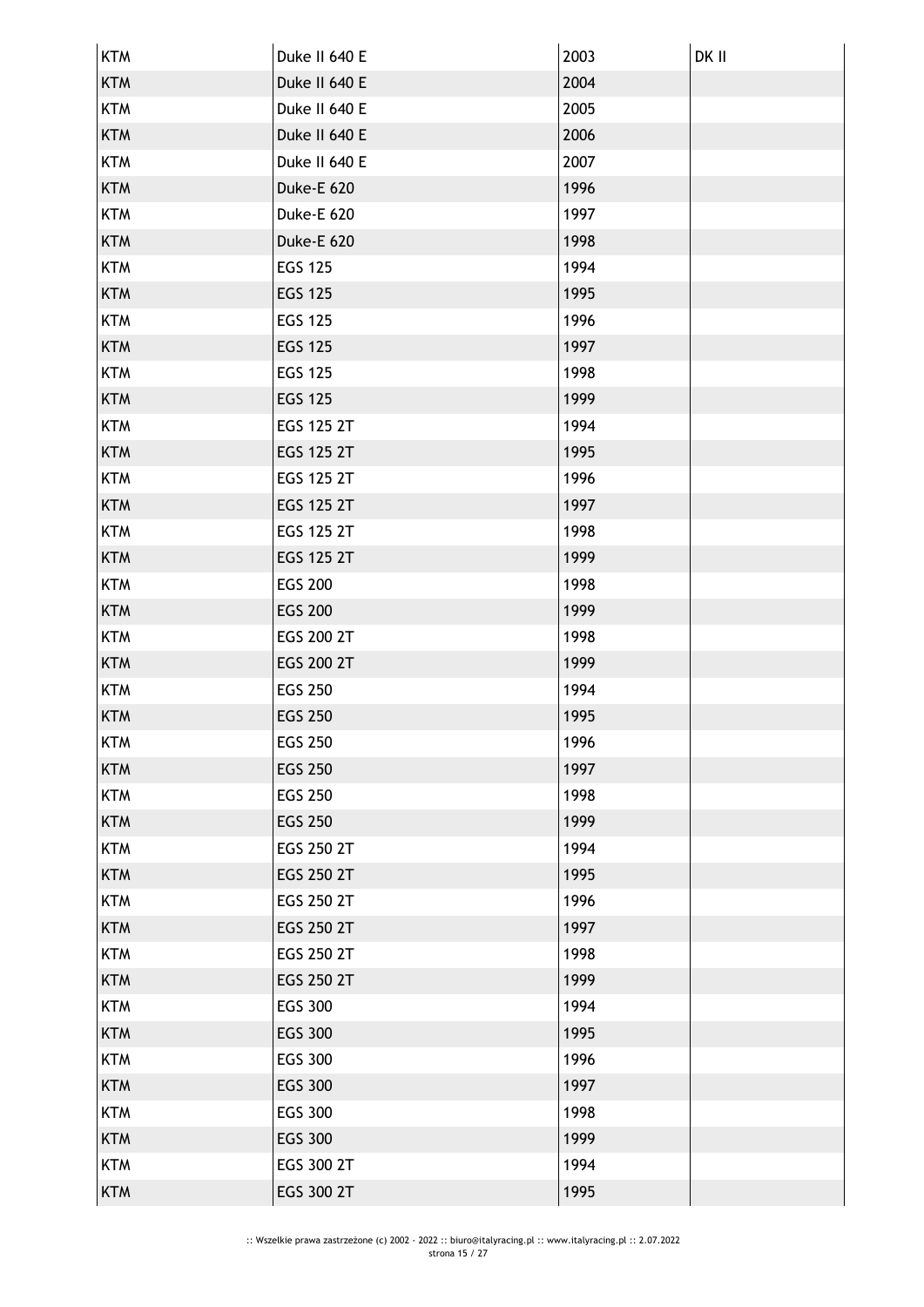| <b>KTM</b> | Duke II 640 E  | 2003 | DK II |
|------------|----------------|------|-------|
| <b>KTM</b> | Duke II 640 E  | 2004 |       |
| <b>KTM</b> | Duke II 640 E  | 2005 |       |
| <b>KTM</b> | Duke II 640 E  | 2006 |       |
| <b>KTM</b> | Duke II 640 E  | 2007 |       |
| <b>KTM</b> | Duke-E 620     | 1996 |       |
| <b>KTM</b> | Duke-E 620     | 1997 |       |
| <b>KTM</b> | Duke-E 620     | 1998 |       |
| <b>KTM</b> | <b>EGS 125</b> | 1994 |       |
| <b>KTM</b> | <b>EGS 125</b> | 1995 |       |
| <b>KTM</b> | <b>EGS 125</b> | 1996 |       |
| <b>KTM</b> | <b>EGS 125</b> | 1997 |       |
| <b>KTM</b> | <b>EGS 125</b> | 1998 |       |
| <b>KTM</b> | <b>EGS 125</b> | 1999 |       |
| <b>KTM</b> | EGS 125 2T     | 1994 |       |
| <b>KTM</b> | EGS 125 2T     | 1995 |       |
| <b>KTM</b> | EGS 125 2T     | 1996 |       |
| <b>KTM</b> | EGS 125 2T     | 1997 |       |
| <b>KTM</b> | EGS 125 2T     | 1998 |       |
| <b>KTM</b> | EGS 125 2T     | 1999 |       |
| <b>KTM</b> | <b>EGS 200</b> | 1998 |       |
| <b>KTM</b> | <b>EGS 200</b> | 1999 |       |
| <b>KTM</b> | EGS 200 2T     | 1998 |       |
| <b>KTM</b> | EGS 200 2T     | 1999 |       |
| <b>KTM</b> | <b>EGS 250</b> | 1994 |       |
| <b>KTM</b> | <b>EGS 250</b> | 1995 |       |
| KTM        | <b>EGS 250</b> | 1996 |       |
| <b>KTM</b> | <b>EGS 250</b> | 1997 |       |
| <b>KTM</b> | <b>EGS 250</b> | 1998 |       |
| <b>KTM</b> | <b>EGS 250</b> | 1999 |       |
| <b>KTM</b> | EGS 250 2T     | 1994 |       |
| <b>KTM</b> | EGS 250 2T     | 1995 |       |
| <b>KTM</b> | EGS 250 2T     | 1996 |       |
| <b>KTM</b> | EGS 250 2T     | 1997 |       |
| <b>KTM</b> | EGS 250 2T     | 1998 |       |
| <b>KTM</b> | EGS 250 2T     | 1999 |       |
| <b>KTM</b> | <b>EGS 300</b> | 1994 |       |
| <b>KTM</b> | <b>EGS 300</b> | 1995 |       |
| <b>KTM</b> | <b>EGS 300</b> | 1996 |       |
| <b>KTM</b> | <b>EGS 300</b> | 1997 |       |
| <b>KTM</b> | <b>EGS 300</b> | 1998 |       |
| <b>KTM</b> | <b>EGS 300</b> | 1999 |       |
| <b>KTM</b> | EGS 300 2T     | 1994 |       |
| <b>KTM</b> | EGS 300 2T     | 1995 |       |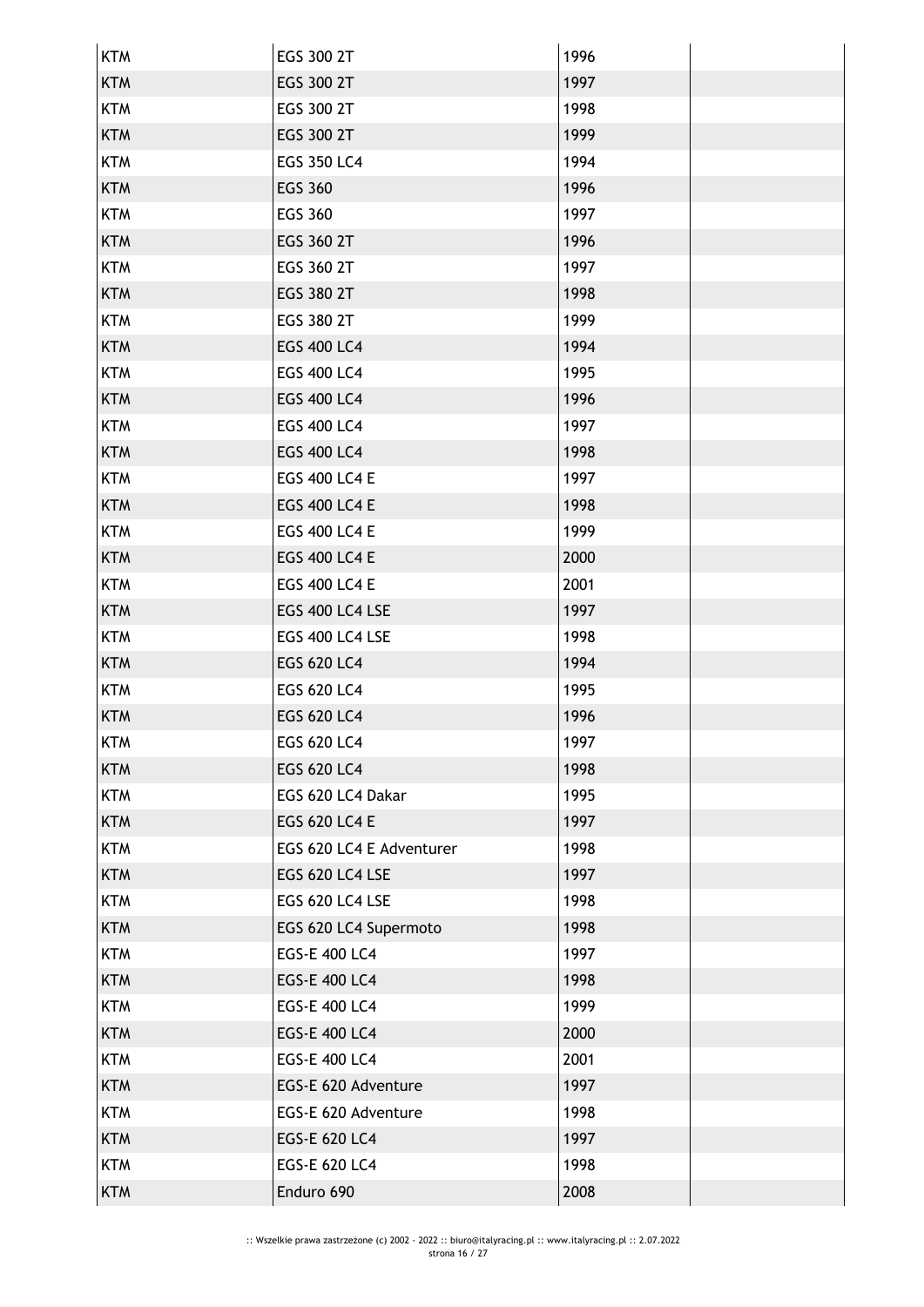| <b>KTM</b> | EGS 300 2T               | 1996 |
|------------|--------------------------|------|
| <b>KTM</b> | EGS 300 2T               | 1997 |
| <b>KTM</b> | EGS 300 2T               | 1998 |
| <b>KTM</b> | EGS 300 2T               | 1999 |
| <b>KTM</b> | <b>EGS 350 LC4</b>       | 1994 |
| <b>KTM</b> | <b>EGS 360</b>           | 1996 |
| <b>KTM</b> | EGS 360                  | 1997 |
| <b>KTM</b> | EGS 360 2T               | 1996 |
| <b>KTM</b> | EGS 360 2T               | 1997 |
| <b>KTM</b> | EGS 380 2T               | 1998 |
| <b>KTM</b> | EGS 380 2T               | 1999 |
| <b>KTM</b> | <b>EGS 400 LC4</b>       | 1994 |
| <b>KTM</b> | EGS 400 LC4              | 1995 |
| <b>KTM</b> | <b>EGS 400 LC4</b>       | 1996 |
| <b>KTM</b> | <b>EGS 400 LC4</b>       | 1997 |
| <b>KTM</b> | <b>EGS 400 LC4</b>       | 1998 |
| <b>KTM</b> | <b>EGS 400 LC4 E</b>     | 1997 |
| <b>KTM</b> | <b>EGS 400 LC4 E</b>     | 1998 |
| <b>KTM</b> | <b>EGS 400 LC4 E</b>     | 1999 |
| <b>KTM</b> | <b>EGS 400 LC4 E</b>     | 2000 |
| <b>KTM</b> | <b>EGS 400 LC4 E</b>     | 2001 |
| <b>KTM</b> | EGS 400 LC4 LSE          | 1997 |
| <b>KTM</b> | EGS 400 LC4 LSE          | 1998 |
| <b>KTM</b> | EGS 620 LC4              | 1994 |
| <b>KTM</b> | EGS 620 LC4              | 1995 |
| <b>KTM</b> | <b>EGS 620 LC4</b>       | 1996 |
| <b>KTM</b> | EGS 620 LC4              | 1997 |
| <b>KTM</b> | <b>EGS 620 LC4</b>       | 1998 |
| <b>KTM</b> | EGS 620 LC4 Dakar        | 1995 |
| <b>KTM</b> | EGS 620 LC4 E            | 1997 |
| <b>KTM</b> | EGS 620 LC4 E Adventurer | 1998 |
| <b>KTM</b> | EGS 620 LC4 LSE          | 1997 |
| <b>KTM</b> | EGS 620 LC4 LSE          | 1998 |
| <b>KTM</b> | EGS 620 LC4 Supermoto    | 1998 |
| <b>KTM</b> | EGS-E 400 LC4            | 1997 |
| <b>KTM</b> | EGS-E 400 LC4            | 1998 |
| <b>KTM</b> | EGS-E 400 LC4            | 1999 |
| <b>KTM</b> | <b>EGS-E 400 LC4</b>     | 2000 |
| <b>KTM</b> | EGS-E 400 LC4            | 2001 |
| <b>KTM</b> | EGS-E 620 Adventure      | 1997 |
| <b>KTM</b> | EGS-E 620 Adventure      | 1998 |
| <b>KTM</b> | EGS-E 620 LC4            | 1997 |
| <b>KTM</b> | EGS-E 620 LC4            | 1998 |
| <b>KTM</b> | Enduro 690               | 2008 |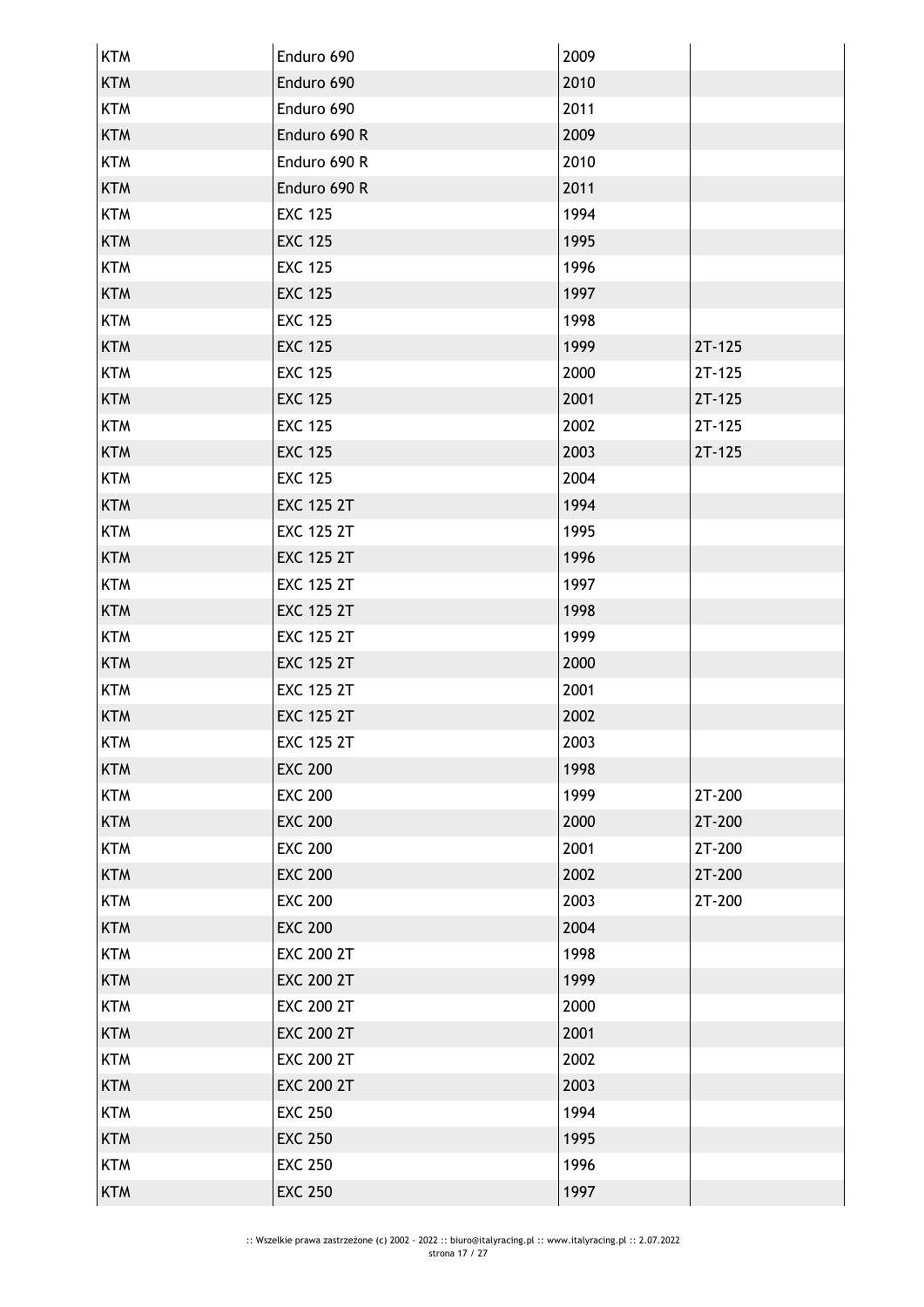| <b>KTM</b> | Enduro 690        | 2009 |          |
|------------|-------------------|------|----------|
| <b>KTM</b> | Enduro 690        | 2010 |          |
| <b>KTM</b> | Enduro 690        | 2011 |          |
| <b>KTM</b> | Enduro 690 R      | 2009 |          |
| <b>KTM</b> | Enduro 690 R      | 2010 |          |
| <b>KTM</b> | Enduro 690 R      | 2011 |          |
| <b>KTM</b> | <b>EXC 125</b>    | 1994 |          |
| <b>KTM</b> | <b>EXC 125</b>    | 1995 |          |
| <b>KTM</b> | <b>EXC 125</b>    | 1996 |          |
| <b>KTM</b> | <b>EXC 125</b>    | 1997 |          |
| <b>KTM</b> | <b>EXC 125</b>    | 1998 |          |
| <b>KTM</b> | <b>EXC 125</b>    | 1999 | $2T-125$ |
| <b>KTM</b> | <b>EXC 125</b>    | 2000 | $2T-125$ |
| <b>KTM</b> | <b>EXC 125</b>    | 2001 | $2T-125$ |
| <b>KTM</b> | <b>EXC 125</b>    | 2002 | $2T-125$ |
| <b>KTM</b> | <b>EXC 125</b>    | 2003 | $2T-125$ |
| <b>KTM</b> | <b>EXC 125</b>    | 2004 |          |
| <b>KTM</b> | <b>EXC 125 2T</b> | 1994 |          |
| <b>KTM</b> | <b>EXC 125 2T</b> | 1995 |          |
| <b>KTM</b> | <b>EXC 125 2T</b> | 1996 |          |
| <b>KTM</b> | <b>EXC 125 2T</b> | 1997 |          |
| <b>KTM</b> | <b>EXC 125 2T</b> | 1998 |          |
| <b>KTM</b> | <b>EXC 125 2T</b> | 1999 |          |
| <b>KTM</b> | <b>EXC 125 2T</b> | 2000 |          |
| <b>KTM</b> | <b>EXC 125 2T</b> | 2001 |          |
| <b>KTM</b> | <b>EXC 125 2T</b> | 2002 |          |
| <b>KTM</b> | <b>EXC 125 2T</b> | 2003 |          |
| <b>KTM</b> | <b>EXC 200</b>    | 1998 |          |
| <b>KTM</b> | <b>EXC 200</b>    | 1999 | 2T-200   |
| <b>KTM</b> | <b>EXC 200</b>    | 2000 | 2T-200   |
| <b>KTM</b> | <b>EXC 200</b>    | 2001 | 2T-200   |
| <b>KTM</b> | <b>EXC 200</b>    | 2002 | 2T-200   |
| <b>KTM</b> | <b>EXC 200</b>    | 2003 | 2T-200   |
| <b>KTM</b> | <b>EXC 200</b>    | 2004 |          |
| <b>KTM</b> | <b>EXC 200 2T</b> | 1998 |          |
| <b>KTM</b> | <b>EXC 200 2T</b> | 1999 |          |
| <b>KTM</b> | <b>EXC 200 2T</b> | 2000 |          |
| <b>KTM</b> | <b>EXC 200 2T</b> | 2001 |          |
| <b>KTM</b> | <b>EXC 200 2T</b> | 2002 |          |
| <b>KTM</b> | <b>EXC 200 2T</b> | 2003 |          |
| <b>KTM</b> | <b>EXC 250</b>    | 1994 |          |
| <b>KTM</b> | <b>EXC 250</b>    | 1995 |          |
| <b>KTM</b> | <b>EXC 250</b>    | 1996 |          |
| <b>KTM</b> | <b>EXC 250</b>    | 1997 |          |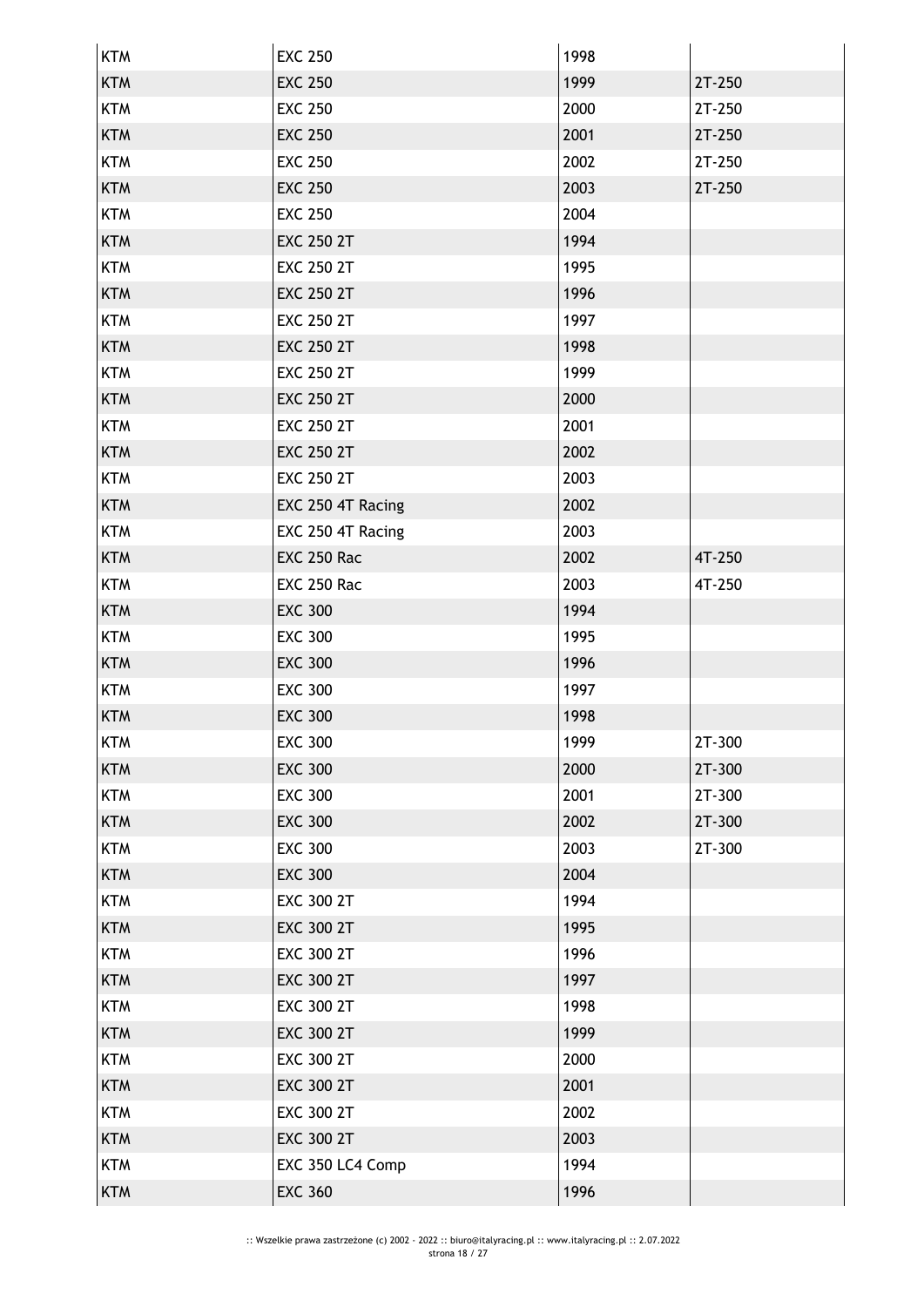| <b>KTM</b> | <b>EXC 250</b>     | 1998 |        |
|------------|--------------------|------|--------|
| <b>KTM</b> | <b>EXC 250</b>     | 1999 | 2T-250 |
| <b>KTM</b> | <b>EXC 250</b>     | 2000 | 2T-250 |
| <b>KTM</b> | <b>EXC 250</b>     | 2001 | 2T-250 |
| <b>KTM</b> | <b>EXC 250</b>     | 2002 | 2T-250 |
| <b>KTM</b> | <b>EXC 250</b>     | 2003 | 2T-250 |
| <b>KTM</b> | <b>EXC 250</b>     | 2004 |        |
| <b>KTM</b> | <b>EXC 250 2T</b>  | 1994 |        |
| <b>KTM</b> | <b>EXC 250 2T</b>  | 1995 |        |
| <b>KTM</b> | <b>EXC 250 2T</b>  | 1996 |        |
| <b>KTM</b> | <b>EXC 250 2T</b>  | 1997 |        |
| <b>KTM</b> | <b>EXC 250 2T</b>  | 1998 |        |
| <b>KTM</b> | <b>EXC 250 2T</b>  | 1999 |        |
| <b>KTM</b> | <b>EXC 250 2T</b>  | 2000 |        |
| <b>KTM</b> | <b>EXC 250 2T</b>  | 2001 |        |
| <b>KTM</b> | <b>EXC 250 2T</b>  | 2002 |        |
| <b>KTM</b> | <b>EXC 250 2T</b>  | 2003 |        |
| <b>KTM</b> | EXC 250 4T Racing  | 2002 |        |
| <b>KTM</b> | EXC 250 4T Racing  | 2003 |        |
| <b>KTM</b> | <b>EXC 250 Rac</b> | 2002 | 4T-250 |
| <b>KTM</b> | <b>EXC 250 Rac</b> | 2003 | 4T-250 |
| <b>KTM</b> | <b>EXC 300</b>     | 1994 |        |
| <b>KTM</b> | <b>EXC 300</b>     | 1995 |        |
| <b>KTM</b> | <b>EXC 300</b>     | 1996 |        |
| <b>KTM</b> | <b>EXC 300</b>     | 1997 |        |
| <b>KTM</b> | <b>EXC 300</b>     | 1998 |        |
| KTM        | <b>EXC 300</b>     | 1999 | 2T-300 |
| <b>KTM</b> | <b>EXC 300</b>     | 2000 | 2T-300 |
| <b>KTM</b> | <b>EXC 300</b>     | 2001 | 2T-300 |
| <b>KTM</b> | <b>EXC 300</b>     | 2002 | 2T-300 |
| <b>KTM</b> | <b>EXC 300</b>     | 2003 | 2T-300 |
| <b>KTM</b> | <b>EXC 300</b>     | 2004 |        |
| <b>KTM</b> | <b>EXC 300 2T</b>  | 1994 |        |
| <b>KTM</b> | <b>EXC 300 2T</b>  | 1995 |        |
| <b>KTM</b> | <b>EXC 300 2T</b>  | 1996 |        |
| <b>KTM</b> | <b>EXC 300 2T</b>  | 1997 |        |
| <b>KTM</b> | <b>EXC 300 2T</b>  | 1998 |        |
| <b>KTM</b> | <b>EXC 300 2T</b>  | 1999 |        |
| <b>KTM</b> | <b>EXC 300 2T</b>  | 2000 |        |
| <b>KTM</b> | <b>EXC 300 2T</b>  | 2001 |        |
| <b>KTM</b> | <b>EXC 300 2T</b>  | 2002 |        |
| <b>KTM</b> | <b>EXC 300 2T</b>  | 2003 |        |
| <b>KTM</b> | EXC 350 LC4 Comp   | 1994 |        |
| <b>KTM</b> | <b>EXC 360</b>     | 1996 |        |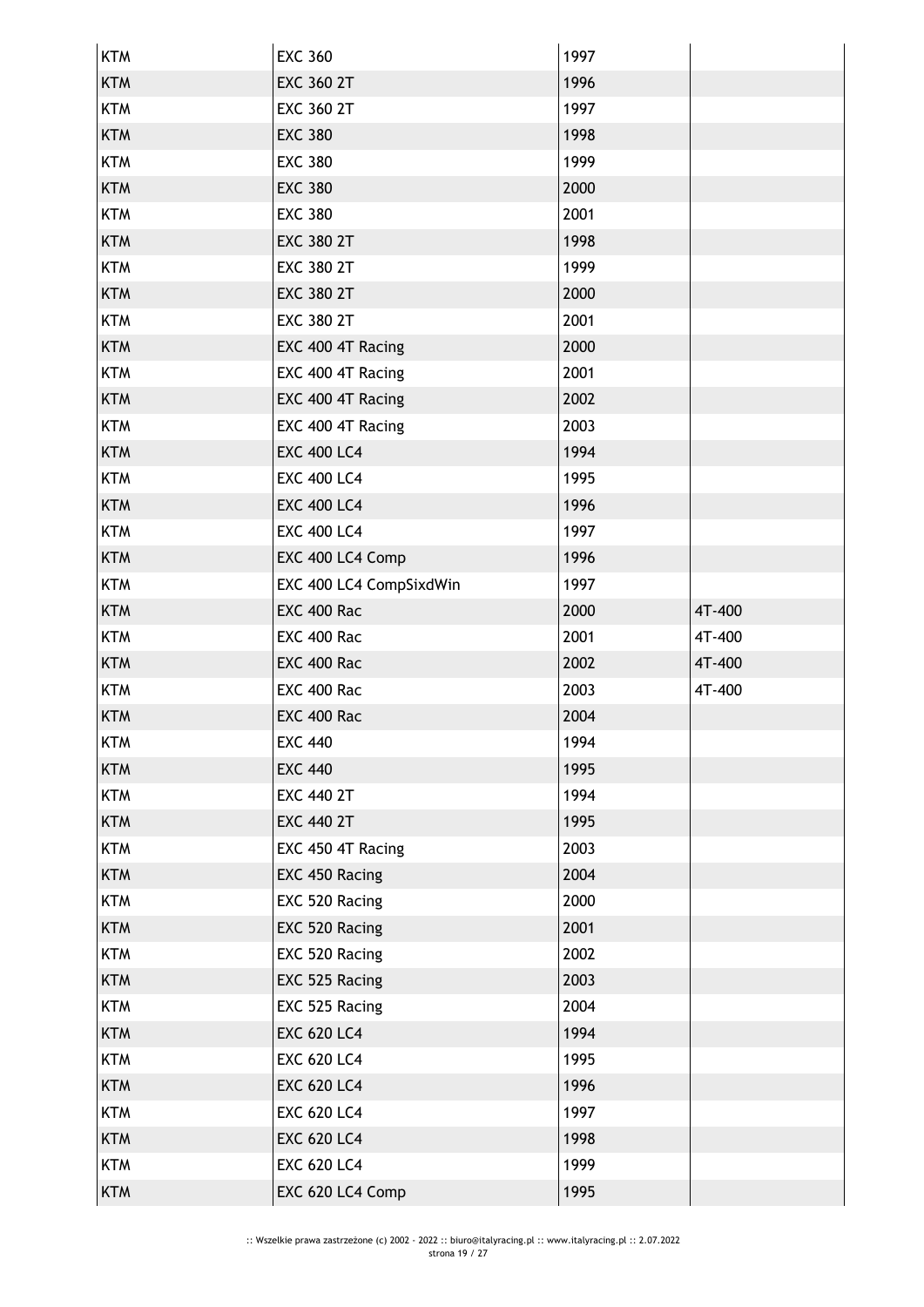| <b>KTM</b> | <b>EXC 360</b>          | 1997 |        |
|------------|-------------------------|------|--------|
| <b>KTM</b> | <b>EXC 360 2T</b>       | 1996 |        |
| <b>KTM</b> | <b>EXC 360 2T</b>       | 1997 |        |
| <b>KTM</b> | <b>EXC 380</b>          | 1998 |        |
| <b>KTM</b> | <b>EXC 380</b>          | 1999 |        |
| <b>KTM</b> | <b>EXC 380</b>          | 2000 |        |
| <b>KTM</b> | <b>EXC 380</b>          | 2001 |        |
| <b>KTM</b> | <b>EXC 380 2T</b>       | 1998 |        |
| <b>KTM</b> | <b>EXC 380 2T</b>       | 1999 |        |
| <b>KTM</b> | <b>EXC 380 2T</b>       | 2000 |        |
| <b>KTM</b> | <b>EXC 380 2T</b>       | 2001 |        |
| <b>KTM</b> | EXC 400 4T Racing       | 2000 |        |
| <b>KTM</b> | EXC 400 4T Racing       | 2001 |        |
| <b>KTM</b> | EXC 400 4T Racing       | 2002 |        |
| <b>KTM</b> | EXC 400 4T Racing       | 2003 |        |
| <b>KTM</b> | <b>EXC 400 LC4</b>      | 1994 |        |
| <b>KTM</b> | <b>EXC 400 LC4</b>      | 1995 |        |
| <b>KTM</b> | <b>EXC 400 LC4</b>      | 1996 |        |
| <b>KTM</b> | <b>EXC 400 LC4</b>      | 1997 |        |
| <b>KTM</b> | EXC 400 LC4 Comp        | 1996 |        |
| <b>KTM</b> | EXC 400 LC4 CompSixdWin | 1997 |        |
| <b>KTM</b> | <b>EXC 400 Rac</b>      | 2000 | 4T-400 |
| <b>KTM</b> | <b>EXC 400 Rac</b>      | 2001 | 4T-400 |
| <b>KTM</b> | <b>EXC 400 Rac</b>      | 2002 | 4T-400 |
| <b>KTM</b> | EXC 400 Rac             | 2003 | 4T-400 |
| <b>KTM</b> | <b>EXC 400 Rac</b>      | 2004 |        |
| <b>KTM</b> | <b>EXC 440</b>          | 1994 |        |
| <b>KTM</b> | <b>EXC 440</b>          | 1995 |        |
| <b>KTM</b> | <b>EXC 440 2T</b>       | 1994 |        |
| <b>KTM</b> | <b>EXC 440 2T</b>       | 1995 |        |
| <b>KTM</b> | EXC 450 4T Racing       | 2003 |        |
| <b>KTM</b> | EXC 450 Racing          | 2004 |        |
| <b>KTM</b> | EXC 520 Racing          | 2000 |        |
| <b>KTM</b> | EXC 520 Racing          | 2001 |        |
| <b>KTM</b> | EXC 520 Racing          | 2002 |        |
| <b>KTM</b> | EXC 525 Racing          | 2003 |        |
| <b>KTM</b> | EXC 525 Racing          | 2004 |        |
| <b>KTM</b> | <b>EXC 620 LC4</b>      | 1994 |        |
| <b>KTM</b> | <b>EXC 620 LC4</b>      | 1995 |        |
| <b>KTM</b> | <b>EXC 620 LC4</b>      | 1996 |        |
| <b>KTM</b> | <b>EXC 620 LC4</b>      | 1997 |        |
| <b>KTM</b> | <b>EXC 620 LC4</b>      | 1998 |        |
| <b>KTM</b> | <b>EXC 620 LC4</b>      | 1999 |        |
| <b>KTM</b> | EXC 620 LC4 Comp        | 1995 |        |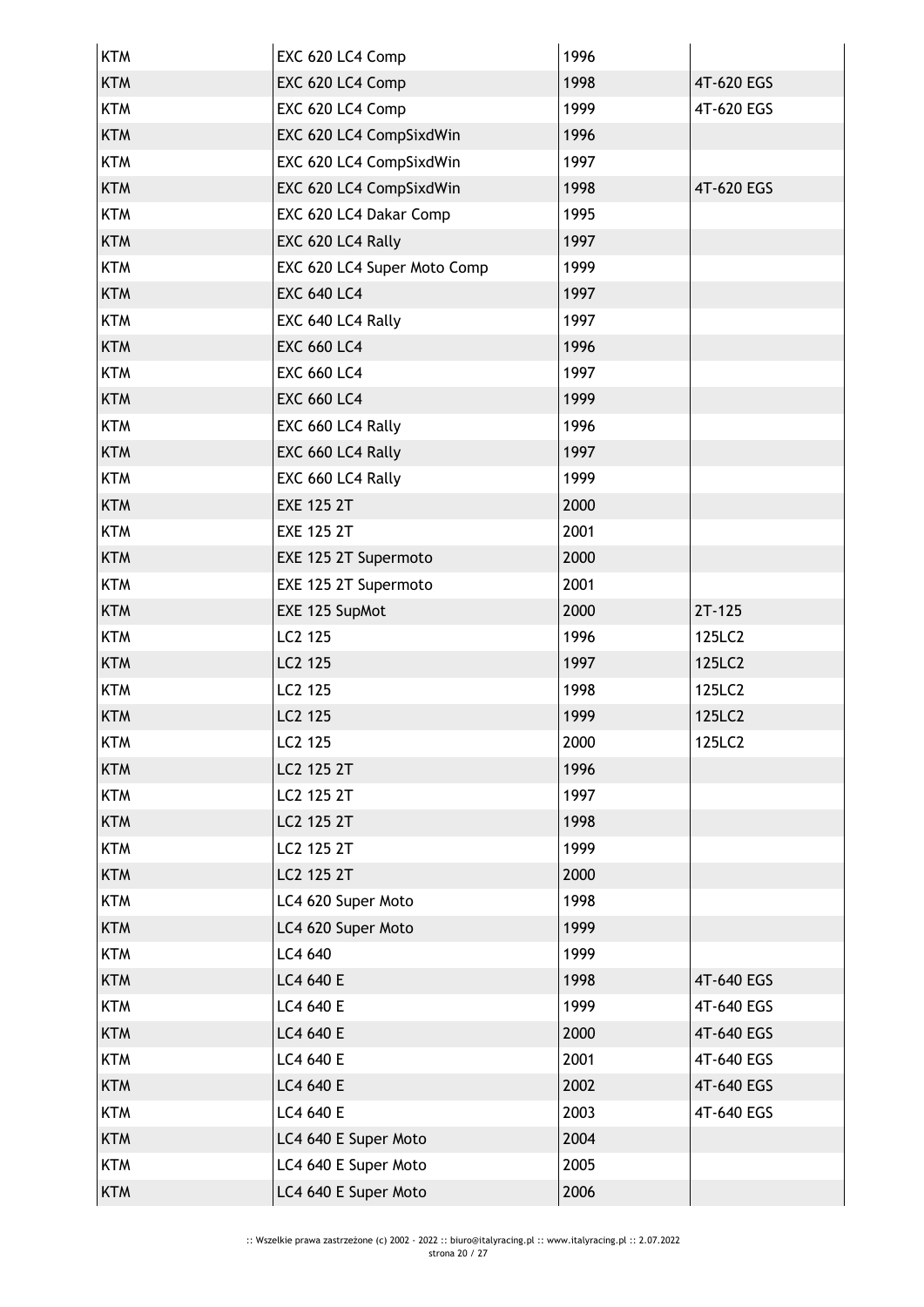| <b>KTM</b> | EXC 620 LC4 Comp            | 1996 |            |
|------------|-----------------------------|------|------------|
| <b>KTM</b> | EXC 620 LC4 Comp            | 1998 | 4T-620 EGS |
| <b>KTM</b> | EXC 620 LC4 Comp            | 1999 | 4T-620 EGS |
| <b>KTM</b> | EXC 620 LC4 CompSixdWin     | 1996 |            |
| <b>KTM</b> | EXC 620 LC4 CompSixdWin     | 1997 |            |
| <b>KTM</b> | EXC 620 LC4 CompSixdWin     | 1998 | 4T-620 EGS |
| <b>KTM</b> | EXC 620 LC4 Dakar Comp      | 1995 |            |
| <b>KTM</b> | EXC 620 LC4 Rally           | 1997 |            |
| <b>KTM</b> | EXC 620 LC4 Super Moto Comp | 1999 |            |
| <b>KTM</b> | <b>EXC 640 LC4</b>          | 1997 |            |
| <b>KTM</b> | EXC 640 LC4 Rally           | 1997 |            |
| <b>KTM</b> | <b>EXC 660 LC4</b>          | 1996 |            |
| <b>KTM</b> | <b>EXC 660 LC4</b>          | 1997 |            |
| <b>KTM</b> | <b>EXC 660 LC4</b>          | 1999 |            |
| <b>KTM</b> | EXC 660 LC4 Rally           | 1996 |            |
| <b>KTM</b> | EXC 660 LC4 Rally           | 1997 |            |
| <b>KTM</b> | EXC 660 LC4 Rally           | 1999 |            |
| <b>KTM</b> | <b>EXE 125 2T</b>           | 2000 |            |
| <b>KTM</b> | <b>EXE 125 2T</b>           | 2001 |            |
| <b>KTM</b> | EXE 125 2T Supermoto        | 2000 |            |
| <b>KTM</b> | EXE 125 2T Supermoto        | 2001 |            |
| <b>KTM</b> | EXE 125 SupMot              | 2000 | $2T-125$   |
| <b>KTM</b> | LC2 125                     | 1996 | 125LC2     |
| <b>KTM</b> | LC2 125                     | 1997 | 125LC2     |
| <b>KTM</b> | LC2 125                     | 1998 | 125LC2     |
| <b>KTM</b> | LC2 125                     | 1999 | 125LC2     |
| KTM        | LC <sub>2</sub> 125         | 2000 | 125LC2     |
| <b>KTM</b> | LC2 125 2T                  | 1996 |            |
| <b>KTM</b> | LC2 125 2T                  | 1997 |            |
| <b>KTM</b> | LC2 125 2T                  | 1998 |            |
| <b>KTM</b> | LC2 125 2T                  | 1999 |            |
| <b>KTM</b> | LC2 125 2T                  | 2000 |            |
| <b>KTM</b> | LC4 620 Super Moto          | 1998 |            |
| <b>KTM</b> | LC4 620 Super Moto          | 1999 |            |
| <b>KTM</b> | LC4 640                     | 1999 |            |
| <b>KTM</b> | LC4 640 E                   | 1998 | 4T-640 EGS |
| <b>KTM</b> | LC4 640 E                   | 1999 | 4T-640 EGS |
| <b>KTM</b> | LC4 640 E                   | 2000 | 4T-640 EGS |
| <b>KTM</b> | LC4 640 E                   | 2001 | 4T-640 EGS |
| <b>KTM</b> | LC4 640 E                   | 2002 | 4T-640 EGS |
| <b>KTM</b> | LC4 640 E                   | 2003 | 4T-640 EGS |
| <b>KTM</b> | LC4 640 E Super Moto        | 2004 |            |
| <b>KTM</b> | LC4 640 E Super Moto        | 2005 |            |
| <b>KTM</b> | LC4 640 E Super Moto        | 2006 |            |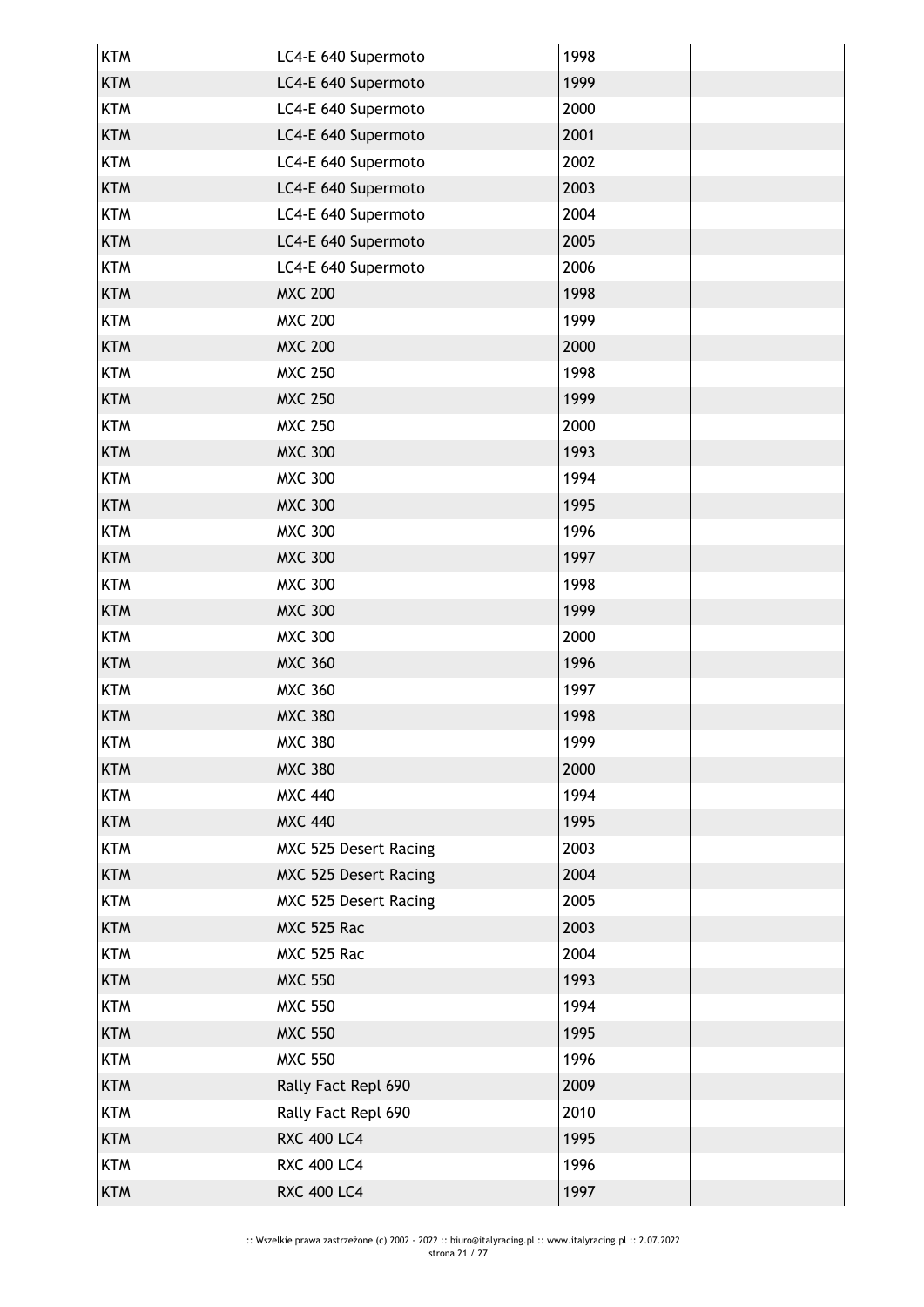| LC4-E 640 Supermoto<br><b>KTM</b><br>1999<br><b>KTM</b><br>LC4-E 640 Supermoto<br>2000<br>2001<br><b>KTM</b><br>LC4-E 640 Supermoto<br>LC4-E 640 Supermoto<br>2002<br><b>KTM</b><br><b>KTM</b><br>LC4-E 640 Supermoto<br>2003<br><b>KTM</b><br>LC4-E 640 Supermoto<br>2004<br><b>KTM</b><br>LC4-E 640 Supermoto<br>2005<br><b>KTM</b><br>LC4-E 640 Supermoto<br>2006<br><b>MXC 200</b><br><b>KTM</b><br>1998<br><b>MXC 200</b><br><b>KTM</b><br>1999<br><b>KTM</b><br><b>MXC 200</b><br>2000<br>1998<br><b>KTM</b><br><b>MXC 250</b><br><b>KTM</b><br><b>MXC 250</b><br>1999<br><b>KTM</b><br><b>MXC 250</b><br>2000<br><b>MXC 300</b><br><b>KTM</b><br>1993<br><b>MXC 300</b><br><b>KTM</b><br>1994<br><b>KTM</b><br><b>MXC 300</b><br>1995<br><b>KTM</b><br><b>MXC 300</b><br>1996<br><b>KTM</b><br><b>MXC 300</b><br>1997<br><b>MXC 300</b><br><b>KTM</b><br>1998<br><b>MXC 300</b><br><b>KTM</b><br>1999<br><b>KTM</b><br><b>MXC 300</b><br>2000<br><b>KTM</b><br><b>MXC 360</b><br>1996<br><b>KTM</b><br><b>MXC 360</b><br>1997<br><b>MXC 380</b><br><b>KTM</b><br>1998<br>KTM<br><b>MXC 380</b><br>1999<br><b>MXC 380</b><br><b>KTM</b><br>2000<br>1994<br><b>KTM</b><br><b>MXC 440</b><br><b>KTM</b><br><b>MXC 440</b><br>1995<br>2003<br><b>KTM</b><br>MXC 525 Desert Racing<br>MXC 525 Desert Racing<br><b>KTM</b><br>2004<br><b>KTM</b><br>MXC 525 Desert Racing<br>2005<br>MXC 525 Rac<br>2003<br><b>KTM</b><br>MXC 525 Rac<br>2004<br><b>KTM</b><br><b>KTM</b><br><b>MXC 550</b><br>1993<br><b>KTM</b><br><b>MXC 550</b><br>1994<br><b>KTM</b><br><b>MXC 550</b><br>1995<br><b>MXC 550</b><br>1996<br><b>KTM</b><br>Rally Fact Repl 690<br><b>KTM</b><br>2009<br><b>KTM</b><br>Rally Fact Repl 690<br>2010<br><b>RXC 400 LC4</b><br><b>KTM</b><br>1995<br><b>RXC 400 LC4</b><br><b>KTM</b><br>1996<br><b>RXC 400 LC4</b><br><b>KTM</b><br>1997 | <b>KTM</b> | LC4-E 640 Supermoto | 1998 |  |
|------------------------------------------------------------------------------------------------------------------------------------------------------------------------------------------------------------------------------------------------------------------------------------------------------------------------------------------------------------------------------------------------------------------------------------------------------------------------------------------------------------------------------------------------------------------------------------------------------------------------------------------------------------------------------------------------------------------------------------------------------------------------------------------------------------------------------------------------------------------------------------------------------------------------------------------------------------------------------------------------------------------------------------------------------------------------------------------------------------------------------------------------------------------------------------------------------------------------------------------------------------------------------------------------------------------------------------------------------------------------------------------------------------------------------------------------------------------------------------------------------------------------------------------------------------------------------------------------------------------------------------------------------------------------------------------------------------------------------------------------------------------------------------------------------------------------------------------------------------|------------|---------------------|------|--|
|                                                                                                                                                                                                                                                                                                                                                                                                                                                                                                                                                                                                                                                                                                                                                                                                                                                                                                                                                                                                                                                                                                                                                                                                                                                                                                                                                                                                                                                                                                                                                                                                                                                                                                                                                                                                                                                            |            |                     |      |  |
|                                                                                                                                                                                                                                                                                                                                                                                                                                                                                                                                                                                                                                                                                                                                                                                                                                                                                                                                                                                                                                                                                                                                                                                                                                                                                                                                                                                                                                                                                                                                                                                                                                                                                                                                                                                                                                                            |            |                     |      |  |
|                                                                                                                                                                                                                                                                                                                                                                                                                                                                                                                                                                                                                                                                                                                                                                                                                                                                                                                                                                                                                                                                                                                                                                                                                                                                                                                                                                                                                                                                                                                                                                                                                                                                                                                                                                                                                                                            |            |                     |      |  |
|                                                                                                                                                                                                                                                                                                                                                                                                                                                                                                                                                                                                                                                                                                                                                                                                                                                                                                                                                                                                                                                                                                                                                                                                                                                                                                                                                                                                                                                                                                                                                                                                                                                                                                                                                                                                                                                            |            |                     |      |  |
|                                                                                                                                                                                                                                                                                                                                                                                                                                                                                                                                                                                                                                                                                                                                                                                                                                                                                                                                                                                                                                                                                                                                                                                                                                                                                                                                                                                                                                                                                                                                                                                                                                                                                                                                                                                                                                                            |            |                     |      |  |
|                                                                                                                                                                                                                                                                                                                                                                                                                                                                                                                                                                                                                                                                                                                                                                                                                                                                                                                                                                                                                                                                                                                                                                                                                                                                                                                                                                                                                                                                                                                                                                                                                                                                                                                                                                                                                                                            |            |                     |      |  |
|                                                                                                                                                                                                                                                                                                                                                                                                                                                                                                                                                                                                                                                                                                                                                                                                                                                                                                                                                                                                                                                                                                                                                                                                                                                                                                                                                                                                                                                                                                                                                                                                                                                                                                                                                                                                                                                            |            |                     |      |  |
|                                                                                                                                                                                                                                                                                                                                                                                                                                                                                                                                                                                                                                                                                                                                                                                                                                                                                                                                                                                                                                                                                                                                                                                                                                                                                                                                                                                                                                                                                                                                                                                                                                                                                                                                                                                                                                                            |            |                     |      |  |
|                                                                                                                                                                                                                                                                                                                                                                                                                                                                                                                                                                                                                                                                                                                                                                                                                                                                                                                                                                                                                                                                                                                                                                                                                                                                                                                                                                                                                                                                                                                                                                                                                                                                                                                                                                                                                                                            |            |                     |      |  |
|                                                                                                                                                                                                                                                                                                                                                                                                                                                                                                                                                                                                                                                                                                                                                                                                                                                                                                                                                                                                                                                                                                                                                                                                                                                                                                                                                                                                                                                                                                                                                                                                                                                                                                                                                                                                                                                            |            |                     |      |  |
|                                                                                                                                                                                                                                                                                                                                                                                                                                                                                                                                                                                                                                                                                                                                                                                                                                                                                                                                                                                                                                                                                                                                                                                                                                                                                                                                                                                                                                                                                                                                                                                                                                                                                                                                                                                                                                                            |            |                     |      |  |
|                                                                                                                                                                                                                                                                                                                                                                                                                                                                                                                                                                                                                                                                                                                                                                                                                                                                                                                                                                                                                                                                                                                                                                                                                                                                                                                                                                                                                                                                                                                                                                                                                                                                                                                                                                                                                                                            |            |                     |      |  |
|                                                                                                                                                                                                                                                                                                                                                                                                                                                                                                                                                                                                                                                                                                                                                                                                                                                                                                                                                                                                                                                                                                                                                                                                                                                                                                                                                                                                                                                                                                                                                                                                                                                                                                                                                                                                                                                            |            |                     |      |  |
|                                                                                                                                                                                                                                                                                                                                                                                                                                                                                                                                                                                                                                                                                                                                                                                                                                                                                                                                                                                                                                                                                                                                                                                                                                                                                                                                                                                                                                                                                                                                                                                                                                                                                                                                                                                                                                                            |            |                     |      |  |
|                                                                                                                                                                                                                                                                                                                                                                                                                                                                                                                                                                                                                                                                                                                                                                                                                                                                                                                                                                                                                                                                                                                                                                                                                                                                                                                                                                                                                                                                                                                                                                                                                                                                                                                                                                                                                                                            |            |                     |      |  |
|                                                                                                                                                                                                                                                                                                                                                                                                                                                                                                                                                                                                                                                                                                                                                                                                                                                                                                                                                                                                                                                                                                                                                                                                                                                                                                                                                                                                                                                                                                                                                                                                                                                                                                                                                                                                                                                            |            |                     |      |  |
|                                                                                                                                                                                                                                                                                                                                                                                                                                                                                                                                                                                                                                                                                                                                                                                                                                                                                                                                                                                                                                                                                                                                                                                                                                                                                                                                                                                                                                                                                                                                                                                                                                                                                                                                                                                                                                                            |            |                     |      |  |
|                                                                                                                                                                                                                                                                                                                                                                                                                                                                                                                                                                                                                                                                                                                                                                                                                                                                                                                                                                                                                                                                                                                                                                                                                                                                                                                                                                                                                                                                                                                                                                                                                                                                                                                                                                                                                                                            |            |                     |      |  |
|                                                                                                                                                                                                                                                                                                                                                                                                                                                                                                                                                                                                                                                                                                                                                                                                                                                                                                                                                                                                                                                                                                                                                                                                                                                                                                                                                                                                                                                                                                                                                                                                                                                                                                                                                                                                                                                            |            |                     |      |  |
|                                                                                                                                                                                                                                                                                                                                                                                                                                                                                                                                                                                                                                                                                                                                                                                                                                                                                                                                                                                                                                                                                                                                                                                                                                                                                                                                                                                                                                                                                                                                                                                                                                                                                                                                                                                                                                                            |            |                     |      |  |
|                                                                                                                                                                                                                                                                                                                                                                                                                                                                                                                                                                                                                                                                                                                                                                                                                                                                                                                                                                                                                                                                                                                                                                                                                                                                                                                                                                                                                                                                                                                                                                                                                                                                                                                                                                                                                                                            |            |                     |      |  |
|                                                                                                                                                                                                                                                                                                                                                                                                                                                                                                                                                                                                                                                                                                                                                                                                                                                                                                                                                                                                                                                                                                                                                                                                                                                                                                                                                                                                                                                                                                                                                                                                                                                                                                                                                                                                                                                            |            |                     |      |  |
|                                                                                                                                                                                                                                                                                                                                                                                                                                                                                                                                                                                                                                                                                                                                                                                                                                                                                                                                                                                                                                                                                                                                                                                                                                                                                                                                                                                                                                                                                                                                                                                                                                                                                                                                                                                                                                                            |            |                     |      |  |
|                                                                                                                                                                                                                                                                                                                                                                                                                                                                                                                                                                                                                                                                                                                                                                                                                                                                                                                                                                                                                                                                                                                                                                                                                                                                                                                                                                                                                                                                                                                                                                                                                                                                                                                                                                                                                                                            |            |                     |      |  |
|                                                                                                                                                                                                                                                                                                                                                                                                                                                                                                                                                                                                                                                                                                                                                                                                                                                                                                                                                                                                                                                                                                                                                                                                                                                                                                                                                                                                                                                                                                                                                                                                                                                                                                                                                                                                                                                            |            |                     |      |  |
|                                                                                                                                                                                                                                                                                                                                                                                                                                                                                                                                                                                                                                                                                                                                                                                                                                                                                                                                                                                                                                                                                                                                                                                                                                                                                                                                                                                                                                                                                                                                                                                                                                                                                                                                                                                                                                                            |            |                     |      |  |
|                                                                                                                                                                                                                                                                                                                                                                                                                                                                                                                                                                                                                                                                                                                                                                                                                                                                                                                                                                                                                                                                                                                                                                                                                                                                                                                                                                                                                                                                                                                                                                                                                                                                                                                                                                                                                                                            |            |                     |      |  |
|                                                                                                                                                                                                                                                                                                                                                                                                                                                                                                                                                                                                                                                                                                                                                                                                                                                                                                                                                                                                                                                                                                                                                                                                                                                                                                                                                                                                                                                                                                                                                                                                                                                                                                                                                                                                                                                            |            |                     |      |  |
|                                                                                                                                                                                                                                                                                                                                                                                                                                                                                                                                                                                                                                                                                                                                                                                                                                                                                                                                                                                                                                                                                                                                                                                                                                                                                                                                                                                                                                                                                                                                                                                                                                                                                                                                                                                                                                                            |            |                     |      |  |
|                                                                                                                                                                                                                                                                                                                                                                                                                                                                                                                                                                                                                                                                                                                                                                                                                                                                                                                                                                                                                                                                                                                                                                                                                                                                                                                                                                                                                                                                                                                                                                                                                                                                                                                                                                                                                                                            |            |                     |      |  |
|                                                                                                                                                                                                                                                                                                                                                                                                                                                                                                                                                                                                                                                                                                                                                                                                                                                                                                                                                                                                                                                                                                                                                                                                                                                                                                                                                                                                                                                                                                                                                                                                                                                                                                                                                                                                                                                            |            |                     |      |  |
|                                                                                                                                                                                                                                                                                                                                                                                                                                                                                                                                                                                                                                                                                                                                                                                                                                                                                                                                                                                                                                                                                                                                                                                                                                                                                                                                                                                                                                                                                                                                                                                                                                                                                                                                                                                                                                                            |            |                     |      |  |
|                                                                                                                                                                                                                                                                                                                                                                                                                                                                                                                                                                                                                                                                                                                                                                                                                                                                                                                                                                                                                                                                                                                                                                                                                                                                                                                                                                                                                                                                                                                                                                                                                                                                                                                                                                                                                                                            |            |                     |      |  |
|                                                                                                                                                                                                                                                                                                                                                                                                                                                                                                                                                                                                                                                                                                                                                                                                                                                                                                                                                                                                                                                                                                                                                                                                                                                                                                                                                                                                                                                                                                                                                                                                                                                                                                                                                                                                                                                            |            |                     |      |  |
|                                                                                                                                                                                                                                                                                                                                                                                                                                                                                                                                                                                                                                                                                                                                                                                                                                                                                                                                                                                                                                                                                                                                                                                                                                                                                                                                                                                                                                                                                                                                                                                                                                                                                                                                                                                                                                                            |            |                     |      |  |
|                                                                                                                                                                                                                                                                                                                                                                                                                                                                                                                                                                                                                                                                                                                                                                                                                                                                                                                                                                                                                                                                                                                                                                                                                                                                                                                                                                                                                                                                                                                                                                                                                                                                                                                                                                                                                                                            |            |                     |      |  |
|                                                                                                                                                                                                                                                                                                                                                                                                                                                                                                                                                                                                                                                                                                                                                                                                                                                                                                                                                                                                                                                                                                                                                                                                                                                                                                                                                                                                                                                                                                                                                                                                                                                                                                                                                                                                                                                            |            |                     |      |  |
|                                                                                                                                                                                                                                                                                                                                                                                                                                                                                                                                                                                                                                                                                                                                                                                                                                                                                                                                                                                                                                                                                                                                                                                                                                                                                                                                                                                                                                                                                                                                                                                                                                                                                                                                                                                                                                                            |            |                     |      |  |
|                                                                                                                                                                                                                                                                                                                                                                                                                                                                                                                                                                                                                                                                                                                                                                                                                                                                                                                                                                                                                                                                                                                                                                                                                                                                                                                                                                                                                                                                                                                                                                                                                                                                                                                                                                                                                                                            |            |                     |      |  |
|                                                                                                                                                                                                                                                                                                                                                                                                                                                                                                                                                                                                                                                                                                                                                                                                                                                                                                                                                                                                                                                                                                                                                                                                                                                                                                                                                                                                                                                                                                                                                                                                                                                                                                                                                                                                                                                            |            |                     |      |  |
|                                                                                                                                                                                                                                                                                                                                                                                                                                                                                                                                                                                                                                                                                                                                                                                                                                                                                                                                                                                                                                                                                                                                                                                                                                                                                                                                                                                                                                                                                                                                                                                                                                                                                                                                                                                                                                                            |            |                     |      |  |
|                                                                                                                                                                                                                                                                                                                                                                                                                                                                                                                                                                                                                                                                                                                                                                                                                                                                                                                                                                                                                                                                                                                                                                                                                                                                                                                                                                                                                                                                                                                                                                                                                                                                                                                                                                                                                                                            |            |                     |      |  |
|                                                                                                                                                                                                                                                                                                                                                                                                                                                                                                                                                                                                                                                                                                                                                                                                                                                                                                                                                                                                                                                                                                                                                                                                                                                                                                                                                                                                                                                                                                                                                                                                                                                                                                                                                                                                                                                            |            |                     |      |  |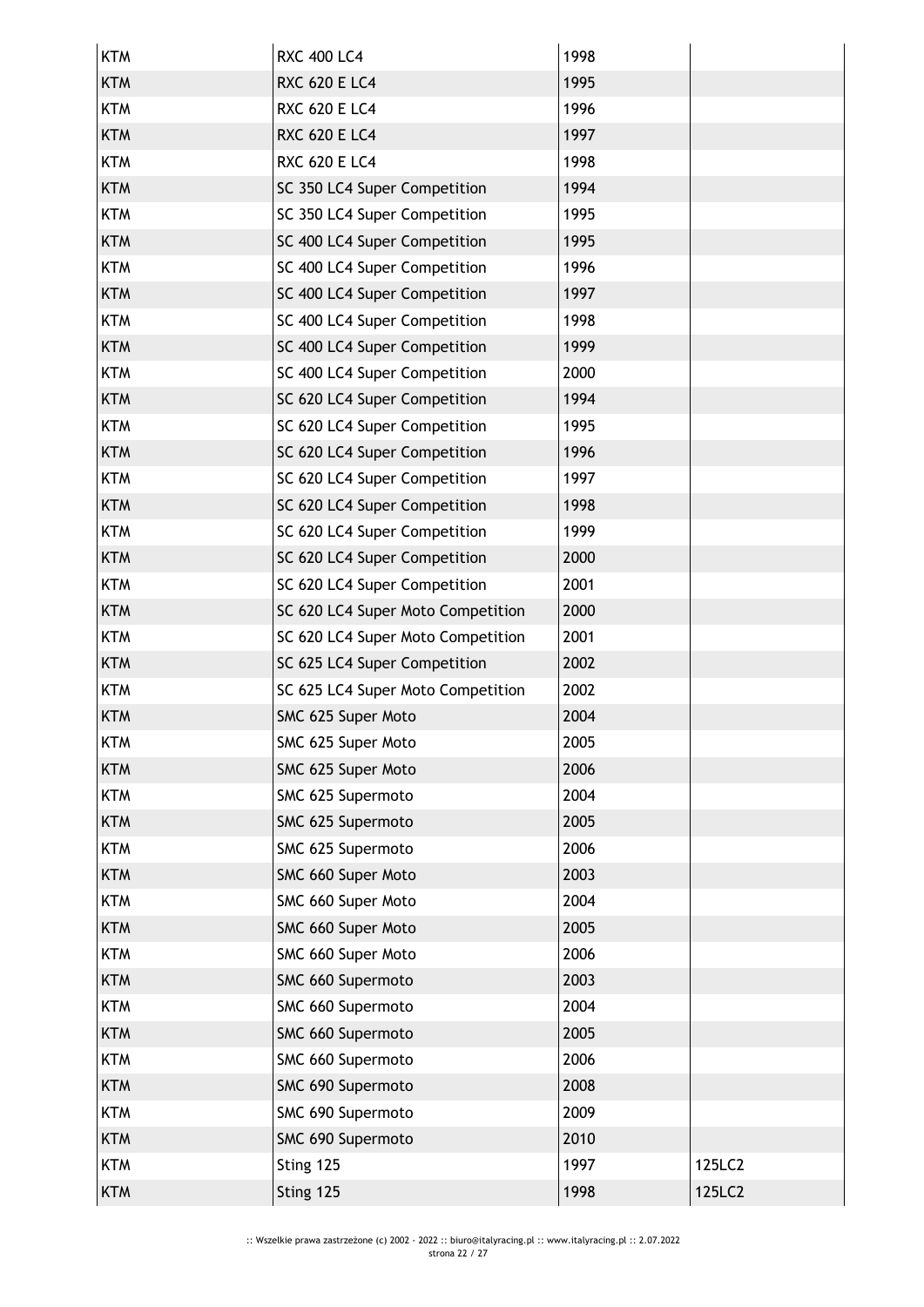| <b>KTM</b> | <b>RXC 400 LC4</b>                | 1998 |        |
|------------|-----------------------------------|------|--------|
| <b>KTM</b> | <b>RXC 620 E LC4</b>              | 1995 |        |
| <b>KTM</b> | <b>RXC 620 E LC4</b>              | 1996 |        |
| <b>KTM</b> | <b>RXC 620 E LC4</b>              | 1997 |        |
| <b>KTM</b> | <b>RXC 620 E LC4</b>              | 1998 |        |
| <b>KTM</b> | SC 350 LC4 Super Competition      | 1994 |        |
| <b>KTM</b> | SC 350 LC4 Super Competition      | 1995 |        |
| <b>KTM</b> | SC 400 LC4 Super Competition      | 1995 |        |
| <b>KTM</b> | SC 400 LC4 Super Competition      | 1996 |        |
| <b>KTM</b> | SC 400 LC4 Super Competition      | 1997 |        |
| <b>KTM</b> | SC 400 LC4 Super Competition      | 1998 |        |
| <b>KTM</b> | SC 400 LC4 Super Competition      | 1999 |        |
| <b>KTM</b> | SC 400 LC4 Super Competition      | 2000 |        |
| <b>KTM</b> | SC 620 LC4 Super Competition      | 1994 |        |
| <b>KTM</b> | SC 620 LC4 Super Competition      | 1995 |        |
| <b>KTM</b> | SC 620 LC4 Super Competition      | 1996 |        |
| <b>KTM</b> | SC 620 LC4 Super Competition      | 1997 |        |
| <b>KTM</b> | SC 620 LC4 Super Competition      | 1998 |        |
| <b>KTM</b> | SC 620 LC4 Super Competition      | 1999 |        |
| <b>KTM</b> | SC 620 LC4 Super Competition      | 2000 |        |
| <b>KTM</b> | SC 620 LC4 Super Competition      | 2001 |        |
| <b>KTM</b> | SC 620 LC4 Super Moto Competition | 2000 |        |
| <b>KTM</b> | SC 620 LC4 Super Moto Competition | 2001 |        |
| <b>KTM</b> | SC 625 LC4 Super Competition      | 2002 |        |
| <b>KTM</b> | SC 625 LC4 Super Moto Competition | 2002 |        |
| <b>KTM</b> | SMC 625 Super Moto                | 2004 |        |
| <b>KTM</b> | SMC 625 Super Moto                | 2005 |        |
| <b>KTM</b> | SMC 625 Super Moto                | 2006 |        |
| <b>KTM</b> | SMC 625 Supermoto                 | 2004 |        |
| <b>KTM</b> | SMC 625 Supermoto                 | 2005 |        |
| <b>KTM</b> | SMC 625 Supermoto                 | 2006 |        |
| <b>KTM</b> | SMC 660 Super Moto                | 2003 |        |
| <b>KTM</b> | SMC 660 Super Moto                | 2004 |        |
| <b>KTM</b> | SMC 660 Super Moto                | 2005 |        |
| <b>KTM</b> | SMC 660 Super Moto                | 2006 |        |
| <b>KTM</b> | SMC 660 Supermoto                 | 2003 |        |
| <b>KTM</b> | SMC 660 Supermoto                 | 2004 |        |
| <b>KTM</b> | SMC 660 Supermoto                 | 2005 |        |
| <b>KTM</b> | SMC 660 Supermoto                 | 2006 |        |
| <b>KTM</b> | SMC 690 Supermoto                 | 2008 |        |
| <b>KTM</b> | SMC 690 Supermoto                 | 2009 |        |
| <b>KTM</b> | SMC 690 Supermoto                 | 2010 |        |
| <b>KTM</b> | Sting 125                         | 1997 | 125LC2 |
| <b>KTM</b> | Sting 125                         | 1998 | 125LC2 |
|            |                                   |      |        |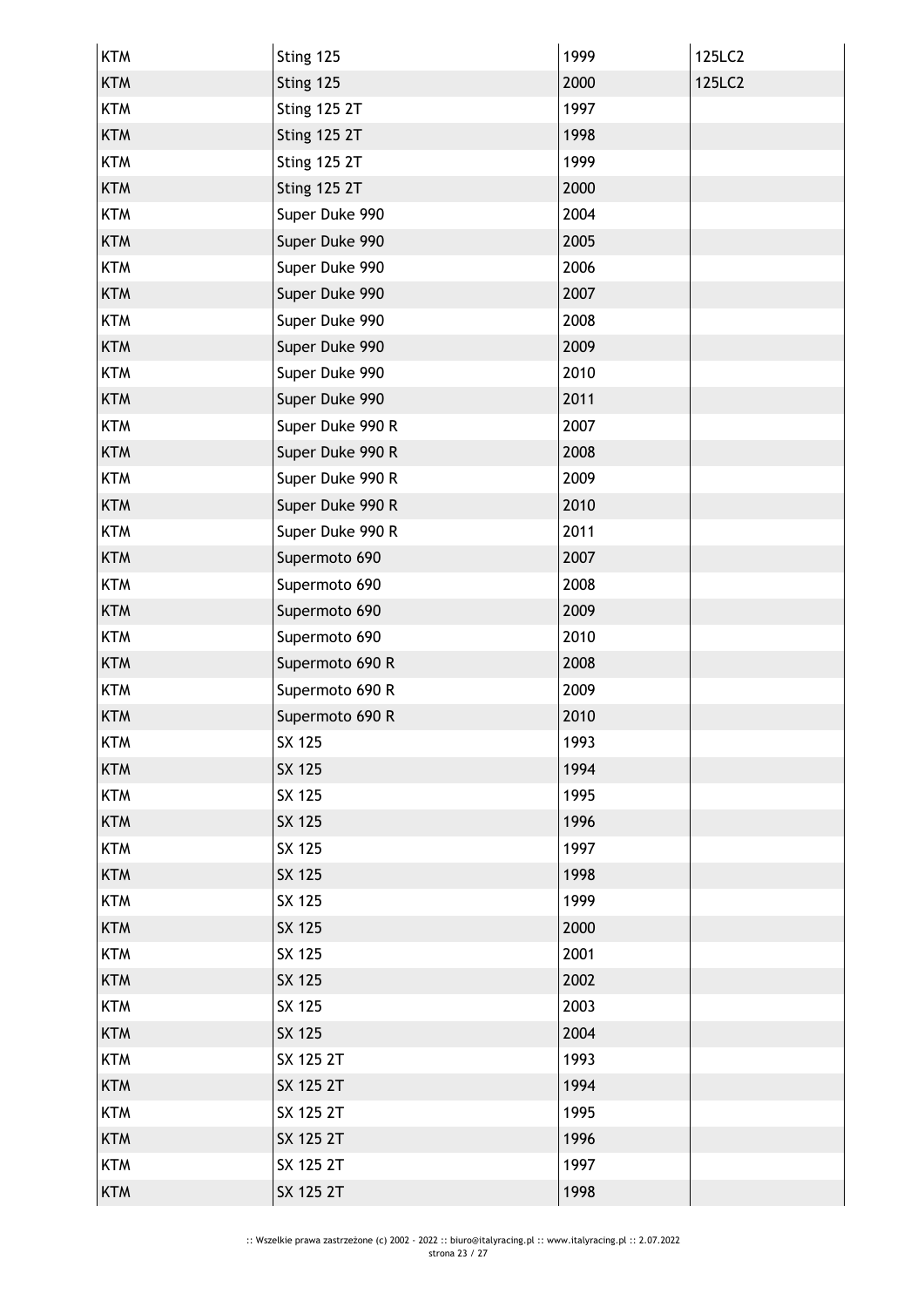| <b>KTM</b> | Sting 125           | 1999 | 125LC2 |
|------------|---------------------|------|--------|
| <b>KTM</b> | Sting 125           | 2000 | 125LC2 |
| <b>KTM</b> | <b>Sting 125 2T</b> | 1997 |        |
| <b>KTM</b> | <b>Sting 125 2T</b> | 1998 |        |
| <b>KTM</b> | <b>Sting 125 2T</b> | 1999 |        |
| <b>KTM</b> | <b>Sting 125 2T</b> | 2000 |        |
| <b>KTM</b> | Super Duke 990      | 2004 |        |
| <b>KTM</b> | Super Duke 990      | 2005 |        |
| <b>KTM</b> | Super Duke 990      | 2006 |        |
| <b>KTM</b> | Super Duke 990      | 2007 |        |
| <b>KTM</b> | Super Duke 990      | 2008 |        |
| <b>KTM</b> | Super Duke 990      | 2009 |        |
| <b>KTM</b> | Super Duke 990      | 2010 |        |
| <b>KTM</b> | Super Duke 990      | 2011 |        |
| <b>KTM</b> | Super Duke 990 R    | 2007 |        |
| <b>KTM</b> | Super Duke 990 R    | 2008 |        |
| <b>KTM</b> | Super Duke 990 R    | 2009 |        |
| <b>KTM</b> | Super Duke 990 R    | 2010 |        |
| <b>KTM</b> | Super Duke 990 R    | 2011 |        |
| <b>KTM</b> | Supermoto 690       | 2007 |        |
| <b>KTM</b> | Supermoto 690       | 2008 |        |
| <b>KTM</b> | Supermoto 690       | 2009 |        |
| <b>KTM</b> | Supermoto 690       | 2010 |        |
| <b>KTM</b> | Supermoto 690 R     | 2008 |        |
| <b>KTM</b> | Supermoto 690 R     | 2009 |        |
| <b>KTM</b> | Supermoto 690 R     | 2010 |        |
| KTM        | SX 125              | 1993 |        |
| <b>KTM</b> | SX 125              | 1994 |        |
| <b>KTM</b> | SX 125              | 1995 |        |
| <b>KTM</b> | SX 125              | 1996 |        |
| <b>KTM</b> | SX 125              | 1997 |        |
| <b>KTM</b> | SX 125              | 1998 |        |
| <b>KTM</b> | SX 125              | 1999 |        |
| <b>KTM</b> | SX 125              | 2000 |        |
| <b>KTM</b> | SX 125              | 2001 |        |
| <b>KTM</b> | SX 125              | 2002 |        |
| <b>KTM</b> | SX 125              | 2003 |        |
| <b>KTM</b> | <b>SX 125</b>       | 2004 |        |
| <b>KTM</b> | SX 125 2T           | 1993 |        |
| <b>KTM</b> | SX 125 2T           | 1994 |        |
| <b>KTM</b> | SX 125 2T           | 1995 |        |
| <b>KTM</b> | SX 125 2T           | 1996 |        |
| <b>KTM</b> | SX 125 2T           | 1997 |        |
| <b>KTM</b> | SX 125 2T           | 1998 |        |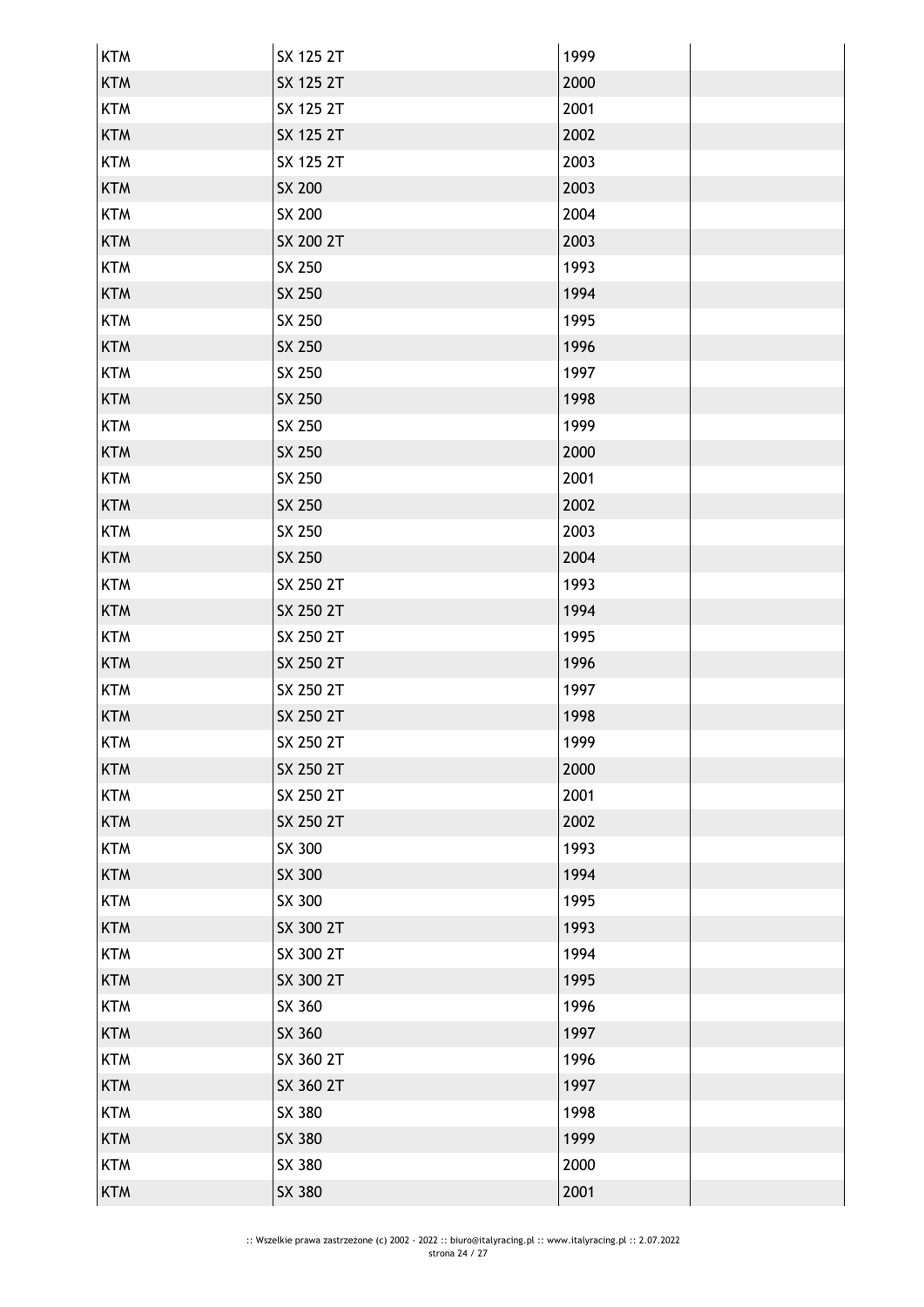| <b>KTM</b> | SX 125 2T | 1999 |  |
|------------|-----------|------|--|
| <b>KTM</b> | SX 125 2T | 2000 |  |
| <b>KTM</b> | SX 125 2T | 2001 |  |
| <b>KTM</b> | SX 125 2T | 2002 |  |
| <b>KTM</b> | SX 125 2T | 2003 |  |
| <b>KTM</b> | SX 200    | 2003 |  |
| <b>KTM</b> | SX 200    | 2004 |  |
| <b>KTM</b> | SX 200 2T | 2003 |  |
| <b>KTM</b> | SX 250    | 1993 |  |
| <b>KTM</b> | SX 250    | 1994 |  |
| <b>KTM</b> | SX 250    | 1995 |  |
| <b>KTM</b> | SX 250    | 1996 |  |
| <b>KTM</b> | SX 250    | 1997 |  |
| <b>KTM</b> | SX 250    | 1998 |  |
| <b>KTM</b> | SX 250    | 1999 |  |
| <b>KTM</b> | SX 250    | 2000 |  |
| <b>KTM</b> | SX 250    | 2001 |  |
| <b>KTM</b> | SX 250    | 2002 |  |
| <b>KTM</b> | SX 250    | 2003 |  |
| <b>KTM</b> | SX 250    | 2004 |  |
| <b>KTM</b> | SX 250 2T | 1993 |  |
| <b>KTM</b> | SX 250 2T | 1994 |  |
| <b>KTM</b> | SX 250 2T | 1995 |  |
| <b>KTM</b> | SX 250 2T | 1996 |  |
| <b>KTM</b> | SX 250 2T | 1997 |  |
| <b>KTM</b> | SX 250 2T | 1998 |  |
| <b>KTM</b> | SX 250 2T | 1999 |  |
| <b>KTM</b> | SX 250 2T | 2000 |  |
| <b>KTM</b> | SX 250 2T | 2001 |  |
| <b>KTM</b> | SX 250 2T | 2002 |  |
| <b>KTM</b> | SX 300    | 1993 |  |
| <b>KTM</b> | SX 300    | 1994 |  |
| <b>KTM</b> | SX 300    | 1995 |  |
| <b>KTM</b> | SX 300 2T | 1993 |  |
| <b>KTM</b> | SX 300 2T | 1994 |  |
| <b>KTM</b> | SX 300 2T | 1995 |  |
| <b>KTM</b> | SX 360    | 1996 |  |
| <b>KTM</b> | SX 360    | 1997 |  |
| <b>KTM</b> | SX 360 2T | 1996 |  |
| <b>KTM</b> | SX 360 2T | 1997 |  |
| <b>KTM</b> | SX 380    | 1998 |  |
| <b>KTM</b> | SX 380    | 1999 |  |
| <b>KTM</b> | SX 380    | 2000 |  |
| <b>KTM</b> | SX 380    | 2001 |  |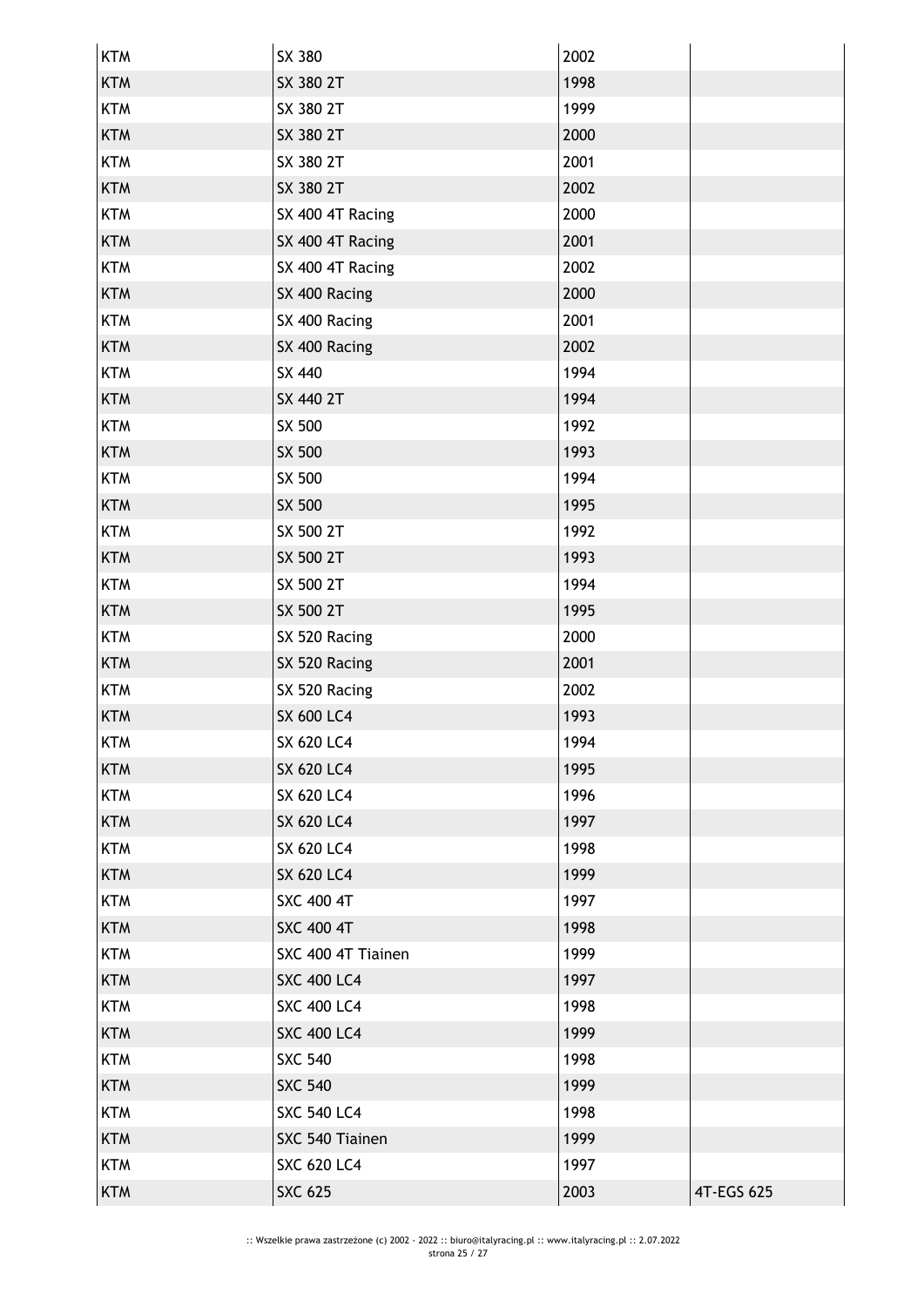| <b>KTM</b> | SX 380             | 2002 |            |
|------------|--------------------|------|------------|
| <b>KTM</b> | SX 380 2T          | 1998 |            |
| <b>KTM</b> | SX 380 2T          | 1999 |            |
| <b>KTM</b> | SX 380 2T          | 2000 |            |
| <b>KTM</b> | SX 380 2T          | 2001 |            |
| <b>KTM</b> | SX 380 2T          | 2002 |            |
| <b>KTM</b> | SX 400 4T Racing   | 2000 |            |
| <b>KTM</b> | SX 400 4T Racing   | 2001 |            |
| <b>KTM</b> | SX 400 4T Racing   | 2002 |            |
| <b>KTM</b> | SX 400 Racing      | 2000 |            |
| <b>KTM</b> | SX 400 Racing      | 2001 |            |
| <b>KTM</b> | SX 400 Racing      | 2002 |            |
| <b>KTM</b> | SX 440             | 1994 |            |
| <b>KTM</b> | SX 440 2T          | 1994 |            |
| <b>KTM</b> | SX 500             | 1992 |            |
| <b>KTM</b> | SX 500             | 1993 |            |
| <b>KTM</b> | SX 500             | 1994 |            |
| <b>KTM</b> | SX 500             | 1995 |            |
| <b>KTM</b> | SX 500 2T          | 1992 |            |
| <b>KTM</b> | SX 500 2T          | 1993 |            |
| <b>KTM</b> | SX 500 2T          | 1994 |            |
| <b>KTM</b> | SX 500 2T          | 1995 |            |
| <b>KTM</b> | SX 520 Racing      | 2000 |            |
| <b>KTM</b> | SX 520 Racing      | 2001 |            |
| <b>KTM</b> | SX 520 Racing      | 2002 |            |
| <b>KTM</b> | <b>SX 600 LC4</b>  | 1993 |            |
| <b>KTM</b> | <b>SX 620 LC4</b>  | 1994 |            |
| <b>KTM</b> | <b>SX 620 LC4</b>  | 1995 |            |
| <b>KTM</b> | SX 620 LC4         | 1996 |            |
| <b>KTM</b> | <b>SX 620 LC4</b>  | 1997 |            |
| <b>KTM</b> | <b>SX 620 LC4</b>  | 1998 |            |
| <b>KTM</b> | SX 620 LC4         | 1999 |            |
| <b>KTM</b> | <b>SXC 400 4T</b>  | 1997 |            |
| <b>KTM</b> | <b>SXC 400 4T</b>  | 1998 |            |
| <b>KTM</b> | SXC 400 4T Tiainen | 1999 |            |
| <b>KTM</b> | <b>SXC 400 LC4</b> | 1997 |            |
| <b>KTM</b> | <b>SXC 400 LC4</b> | 1998 |            |
| <b>KTM</b> | <b>SXC 400 LC4</b> | 1999 |            |
| <b>KTM</b> | <b>SXC 540</b>     | 1998 |            |
| <b>KTM</b> | <b>SXC 540</b>     | 1999 |            |
| <b>KTM</b> | <b>SXC 540 LC4</b> | 1998 |            |
| <b>KTM</b> | SXC 540 Tiainen    | 1999 |            |
| <b>KTM</b> | <b>SXC 620 LC4</b> | 1997 |            |
| <b>KTM</b> | <b>SXC 625</b>     | 2003 | 4T-EGS 625 |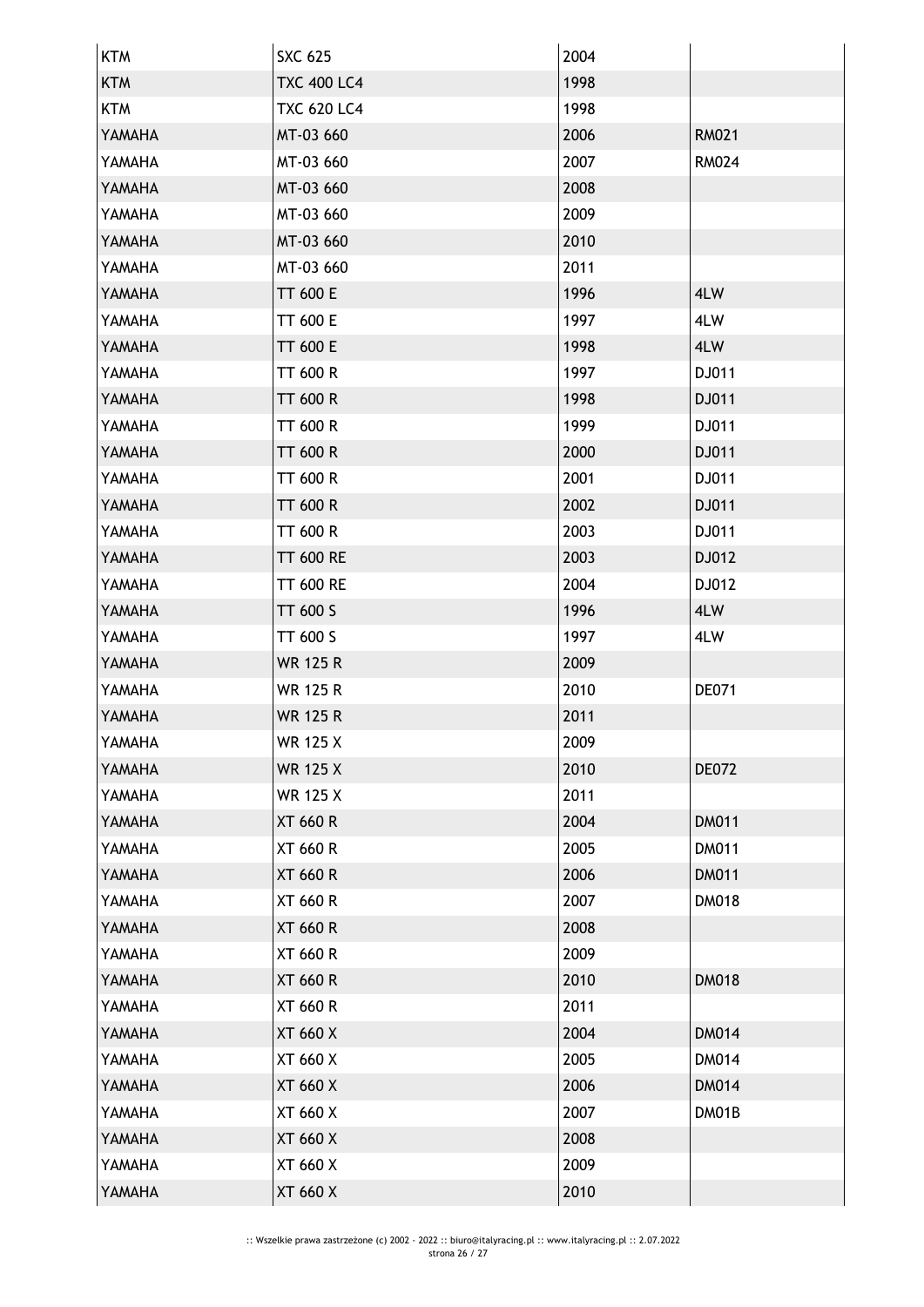| <b>KTM</b> | <b>SXC 625</b>     | 2004 |              |
|------------|--------------------|------|--------------|
| <b>KTM</b> | <b>TXC 400 LC4</b> | 1998 |              |
| <b>KTM</b> | <b>TXC 620 LC4</b> | 1998 |              |
| YAMAHA     | MT-03 660          | 2006 | <b>RM021</b> |
| YAMAHA     | MT-03 660          | 2007 | <b>RM024</b> |
| YAMAHA     | MT-03 660          | 2008 |              |
| YAMAHA     | MT-03 660          | 2009 |              |
| YAMAHA     | MT-03 660          | 2010 |              |
| YAMAHA     | MT-03 660          | 2011 |              |
| YAMAHA     | <b>TT 600 E</b>    | 1996 | 4LW          |
| YAMAHA     | TT 600 E           | 1997 | 4LW          |
| YAMAHA     | <b>TT 600 E</b>    | 1998 | 4LW          |
| YAMAHA     | TT 600 R           | 1997 | DJ011        |
| YAMAHA     | <b>TT 600 R</b>    | 1998 | DJ011        |
| YAMAHA     | <b>TT 600 R</b>    | 1999 | DJ011        |
| YAMAHA     | TT 600 R           | 2000 | DJ011        |
| YAMAHA     | TT 600 R           | 2001 | DJ011        |
| YAMAHA     | <b>TT 600 R</b>    | 2002 | DJ011        |
| YAMAHA     | TT 600 R           | 2003 | DJ011        |
| YAMAHA     | <b>TT 600 RE</b>   | 2003 | DJ012        |
| YAMAHA     | <b>TT 600 RE</b>   | 2004 | DJ012        |
| YAMAHA     | <b>TT 600 S</b>    | 1996 | 4LW          |
| YAMAHA     | TT 600 S           | 1997 | 4LW          |
| YAMAHA     | <b>WR 125 R</b>    | 2009 |              |
| YAMAHA     | <b>WR 125 R</b>    | 2010 | <b>DE071</b> |
| YAMAHA     | <b>WR 125 R</b>    | 2011 |              |
| YAMAHA     | <b>WR 125 X</b>    | 2009 |              |
| YAMAHA     | <b>WR 125 X</b>    | 2010 | <b>DE072</b> |
| YAMAHA     | <b>WR 125 X</b>    | 2011 |              |
| YAMAHA     | <b>XT 660 R</b>    | 2004 | <b>DM011</b> |
| YAMAHA     | XT 660 R           | 2005 | <b>DM011</b> |
| YAMAHA     | <b>XT 660 R</b>    | 2006 | <b>DM011</b> |
| YAMAHA     | <b>XT 660 R</b>    | 2007 | <b>DM018</b> |
| YAMAHA     | <b>XT 660 R</b>    | 2008 |              |
| YAMAHA     | XT 660 R           | 2009 |              |
| YAMAHA     | <b>XT 660 R</b>    | 2010 | <b>DM018</b> |
| YAMAHA     | XT 660 R           | 2011 |              |
| YAMAHA     | XT 660 X           | 2004 | <b>DM014</b> |
| YAMAHA     | XT 660 X           | 2005 | <b>DM014</b> |
| YAMAHA     | XT 660 X           | 2006 | <b>DM014</b> |
| YAMAHA     | XT 660 X           | 2007 | DM01B        |
| YAMAHA     | <b>XT 660 X</b>    | 2008 |              |
| YAMAHA     | XT 660 X           | 2009 |              |
| YAMAHA     | XT 660 X           | 2010 |              |